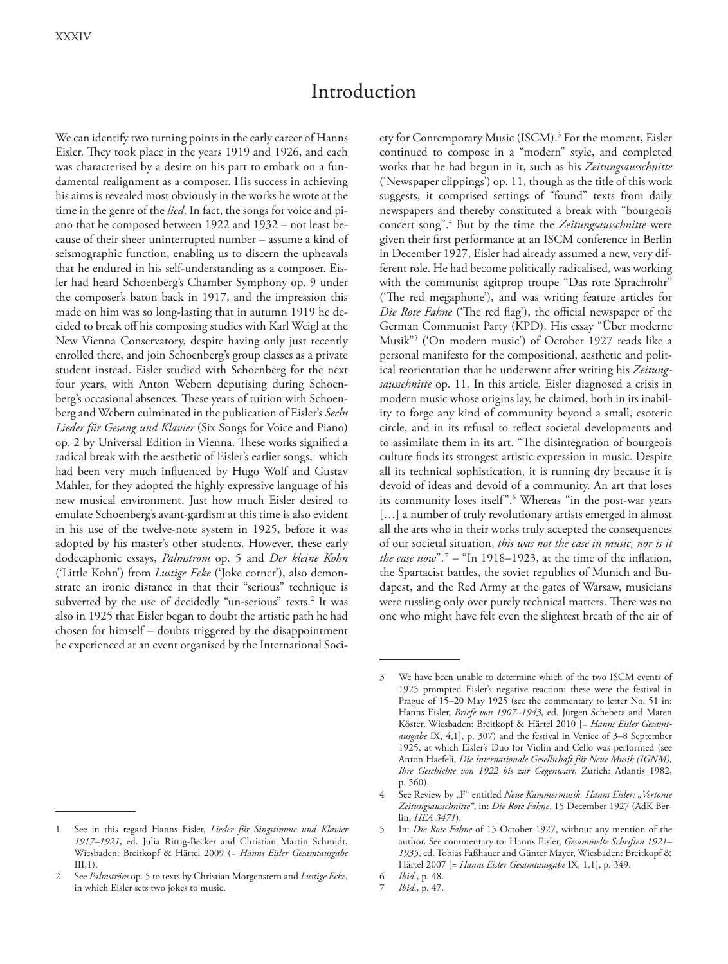# Introduction

We can identify two turning points in the early career of Hanns Eisler. They took place in the years 1919 and 1926, and each was characterised by a desire on his part to embark on a fundamental realignment as a composer. His success in achieving his aims is revealed most obviously in the works he wrote at the time in the genre of the *lied*. In fact, the songs for voice and piano that he composed between 1922 and 1932 – not least because of their sheer uninterrupted number – assume a kind of seismographic function, enabling us to discern the upheavals that he endured in his self-understanding as a composer. Eisler had heard Schoenberg's Chamber Symphony op. 9 under the composer's baton back in 1917, and the impression this made on him was so long-lasting that in autumn 1919 he decided to break off his composing studies with Karl Weigl at the New Vienna Conservatory, despite having only just recently enrolled there, and join Schoenberg's group classes as a private student instead. Eisler studied with Schoenberg for the next four years, with Anton Webern deputising during Schoenberg's occasional absences. These years of tuition with Schoenberg and Webern culminated in the publication of Eisler's *Sechs Lieder für Gesang und Klavier* (Six Songs for Voice and Piano) op. 2 by Universal Edition in Vienna. These works signified a radical break with the aesthetic of Eisler's earlier songs,<sup>1</sup> which had been very much influenced by Hugo Wolf and Gustav Mahler, for they adopted the highly expressive language of his new musical environment. Just how much Eisler desired to emulate Schoenberg's avant-gardism at this time is also evident in his use of the twelve-note system in 1925, before it was adopted by his master's other students. However, these early dodecaphonic essays, *Palmström* op. 5 and *Der kleine Kohn* ('Little Kohn') from *Lustige Ecke* ('Joke corner'), also demonstrate an ironic distance in that their "serious" technique is subverted by the use of decidedly "un-serious" texts.<sup>2</sup> It was also in 1925 that Eisler began to doubt the artistic path he had chosen for himself – doubts triggered by the disappointment he experienced at an event organised by the International Soci-

ety for Contemporary Music (ISCM).<sup>3</sup> For the moment, Eisler continued to compose in a "modern" style, and completed works that he had begun in it, such as his *Zeitungsausschnitte*  ('Newspaper clippings') op. 11, though as the title of this work suggests, it comprised settings of "found" texts from daily newspapers and thereby constituted a break with "bourgeois concert song".4 But by the time the *Zeitungsausschnitte* were given their first performance at an ISCM conference in Berlin in December 1927, Eisler had already assumed a new, very different role. He had become politically radicalised, was working with the communist agitprop troupe "Das rote Sprachrohr" ('The red megaphone'), and was writing feature articles for *Die Rote Fahne* ('The red flag'), the official newspaper of the German Communist Party (KPD). His essay "Über moderne Musik"5 ('On modern music') of October 1927 reads like a personal manifesto for the compositional, aesthetic and political reorientation that he underwent after writing his *Zeitungsausschnitte* op. 11. In this article, Eisler diagnosed a crisis in modern music whose origins lay, he claimed, both in its inability to forge any kind of community beyond a small, esoteric circle, and in its refusal to reflect societal developments and to assimilate them in its art. "The disintegration of bourgeois culture finds its strongest artistic expression in music. Despite all its technical sophistication, it is running dry because it is devoid of ideas and devoid of a community. An art that loses its community loses itself".6 Whereas "in the post-war years [...] a number of truly revolutionary artists emerged in almost all the arts who in their works truly accepted the consequences of our societal situation, *this was not the case in music, nor is it the case now*".<sup>7</sup> – "In 1918–1923, at the time of the inflation, the Spartacist battles, the soviet republics of Munich and Budapest, and the Red Army at the gates of Warsaw, musicians were tussling only over purely technical matters. There was no one who might have felt even the slightest breath of the air of

7 *Ibid*., p. 47.

<sup>1</sup> See in this regard Hanns Eisler, *Lieder für Singstimme und Klavier 1917–1921*, ed. Julia Rittig-Becker and Christian Martin Schmidt, Wiesbaden: Breitkopf & Härtel 2009 (= *Hanns Eisler Gesamtausgabe*  $III.1$ ).

<sup>2</sup> See *Palmström* op. 5 to texts by Christian Morgenstern and *Lustige Ecke*, in which Eisler sets two jokes to music.

<sup>3</sup> We have been unable to determine which of the two ISCM events of 1925 prompted Eisler's negative reaction; these were the festival in Prague of 15–20 May 1925 (see the commentary to letter No. 51 in: Hanns Eisler, *Briefe von 1907–1943*, ed. Jürgen Schebera and Maren Köster, Wiesbaden: Breitkopf & Härtel 2010 [= *Hanns Eisler Gesamtausgabe* IX, 4,1], p. 307) and the festival in Venice of 3–8 September 1925, at which Eisler's Duo for Violin and Cello was performed (see Anton Haefeli, *Die Internationale Gesellschaft für Neue Musik (IGNM), Ihre Geschichte von 1922 bis zur Gegenwart*, Zurich: Atlantis 1982, p. 560).

See Review by "F" entitled *Neue Kammermusik. Hanns Eisler: "Vertonte Zeitungsausschnitte"*, in: *Die Rote Fahne*, 15 December 1927 (AdK Berlin, *HEA 3471*).

<sup>5</sup> In: *Die Rote Fahne* of 15 October 1927, without any mention of the author. See commentary to: Hanns Eisler, *Gesammelte Schriften 1921– 1935*, ed. Tobias Faßhauer and Günter Mayer, Wiesbaden: Breitkopf & Härtel 2007 [= *Hanns Eisler Gesamtausgabe* IX, 1,1], p. 349.

<sup>6</sup> *Ibid*., p. 48.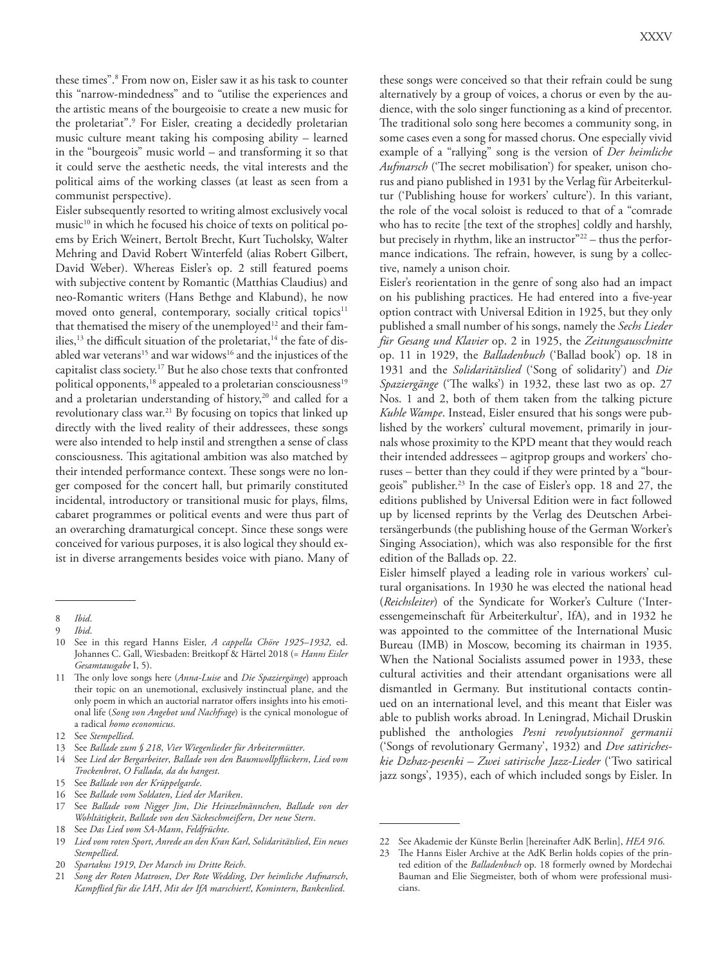these times".8 From now on, Eisler saw it as his task to counter this "narrow-mindedness" and to "utilise the experiences and the artistic means of the bourgeoisie to create a new music for the proletariat".9 For Eisler, creating a decidedly proletarian music culture meant taking his composing ability – learned in the "bourgeois" music world – and transforming it so that it could serve the aesthetic needs, the vital interests and the political aims of the working classes (at least as seen from a communist perspective).

Eisler subsequently resorted to writing almost exclusively vocal music<sup>10</sup> in which he focused his choice of texts on political poems by Erich Weinert, Bertolt Brecht, Kurt Tucholsky, Walter Mehring and David Robert Winterfeld (alias Robert Gilbert, David Weber). Whereas Eisler's op. 2 still featured poems with subjective content by Romantic (Matthias Claudius) and neo-Romantic writers (Hans Bethge and Klabund), he now moved onto general, contemporary, socially critical topics $11$ that thematised the misery of the unemployed<sup>12</sup> and their families,<sup>13</sup> the difficult situation of the proletariat,<sup>14</sup> the fate of disabled war veterans<sup>15</sup> and war widows<sup>16</sup> and the injustices of the capitalist class society.17 But he also chose texts that confronted political opponents,<sup>18</sup> appealed to a proletarian consciousness<sup>19</sup> and a proletarian understanding of history,<sup>20</sup> and called for a revolutionary class war.<sup>21</sup> By focusing on topics that linked up directly with the lived reality of their addressees, these songs were also intended to help instil and strengthen a sense of class consciousness. This agitational ambition was also matched by their intended performance context. These songs were no longer composed for the concert hall, but primarily constituted incidental, introductory or transitional music for plays, films, cabaret programmes or political events and were thus part of an overarching dramaturgical concept. Since these songs were conceived for various purposes, it is also logical they should exist in diverse arrangements besides voice with piano. Many of

these songs were conceived so that their refrain could be sung alternatively by a group of voices, a chorus or even by the audience, with the solo singer functioning as a kind of precentor. The traditional solo song here becomes a community song, in some cases even a song for massed chorus. One especially vivid example of a "rallying" song is the version of *Der heimliche Aufmarsch* ('The secret mobilisation') for speaker, unison chorus and piano published in 1931 by the Verlag für Arbeiterkultur ('Publishing house for workers' culture'). In this variant, the role of the vocal soloist is reduced to that of a "comrade who has to recite [the text of the strophes] coldly and harshly, but precisely in rhythm, like an instructor"<sup>22</sup> – thus the performance indications. The refrain, however, is sung by a collective, namely a unison choir.

Eisler's reorientation in the genre of song also had an impact on his publishing practices. He had entered into a five-year option contract with Universal Edition in 1925, but they only published a small number of his songs, namely the *Sechs Lieder für Gesang und Klavier* op. 2 in 1925, the *Zeitungsausschnitte*  op. 11 in 1929, the *Balladenbuch* ('Ballad book') op. 18 in 1931 and the *Solidaritätslied* ('Song of solidarity') and *Die Spaziergänge* ('The walks') in 1932, these last two as op. 27 Nos. 1 and 2, both of them taken from the talking picture *Kuhle Wampe*. Instead, Eisler ensured that his songs were published by the workers' cultural movement, primarily in journals whose proximity to the KPD meant that they would reach their intended addressees – agitprop groups and workers' choruses – better than they could if they were printed by a "bourgeois" publisher.<sup>23</sup> In the case of Eisler's opp. 18 and 27, the editions published by Universal Edition were in fact followed up by licensed reprints by the Verlag des Deutschen Arbeitersängerbunds (the publishing house of the German Worker's Singing Association), which was also responsible for the first edition of the Ballads op. 22.

Eisler himself played a leading role in various workers' cultural organisations. In 1930 he was elected the national head (*Reichsleiter*) of the Syndicate for Worker's Culture ('Interessengemeinschaft für Arbeiterkultur', IfA), and in 1932 he was appointed to the committee of the International Music Bureau (IMB) in Moscow, becoming its chairman in 1935. When the National Socialists assumed power in 1933, these cultural activities and their attendant organisations were all dismantled in Germany. But institutional contacts continued on an international level, and this meant that Eisler was able to publish works abroad. In Leningrad, Michail Druskin published the anthologies *Pesni revolyutsionnoĭ germanii* ('Songs of revolutionary Germany', 1932) and *Dve satiricheskie Dzhaz-pesenki – Zwei satirische Jazz-Lieder* ('Two satirical jazz songs', 1935), each of which included songs by Eisler. In

<sup>8</sup> *Ibid*.

<sup>9</sup> *Ibid*.

<sup>10</sup> See in this regard Hanns Eisler, *A cappella Chöre 1925–1932*, ed. Johannes C. Gall, Wiesbaden: Breitkopf & Härtel 2018 (= *Hanns Eisler Gesamtausgabe* I, 5).

<sup>11</sup> The only love songs here (*Anna-Luise* and *Die Spaziergänge*) approach their topic on an unemotional, exclusively instinctual plane, and the only poem in which an auctorial narrator offers insights into his emotional life (*Song von Angebot und Nachfrage*) is the cynical monologue of a radical *homo economicus*.

<sup>12</sup> See *Stempellied*.

<sup>13</sup> See *Ballade zum § 218*, *Vier Wiegenlieder für Arbeitermütter*.

<sup>14</sup> See *Lied der Bergarbeiter*, *Ballade von den Baumwollpflückern*, *Lied vom Trockenbrot*, *O Fallada, da du hangest*.

<sup>15</sup> See *Ballade von der Krüppelgarde*.

<sup>16</sup> See *Ballade vom Soldaten*, *Lied der Mariken*.

<sup>17</sup> See *Ballade vom Nigger Jim*, *Die Heinzelmännchen*, *Ballade von der Wohltätigkeit*, *Ballade von den Säckeschmeißern*, *Der neue Stern*.

<sup>18</sup> See *Das Lied vom SA-Mann*, *Feldfrüchte*.

<sup>19</sup> *Lied vom roten Sport*, *Anrede an den Kran Karl*, *Solidaritätslied*, *Ein neues Stempellied*.

<sup>20</sup> *Spartakus 1919*, *Der Marsch ins Dritte Reich*.

<sup>21</sup> *Song der Roten Matrosen*, *Der Rote Wedding*, *Der heimliche Aufmarsch*, *Kampflied für die IAH*, *Mit der IfA marschiert!*, *Komintern*, *Bankenlied*.

<sup>22</sup> See Akademie der Künste Berlin [hereinafter AdK Berlin], *HEA 916*.

<sup>23</sup> The Hanns Eisler Archive at the AdK Berlin holds copies of the printed edition of the *Balladenbuch* op. 18 formerly owned by Mordechai Bauman and Elie Siegmeister, both of whom were professional musicians.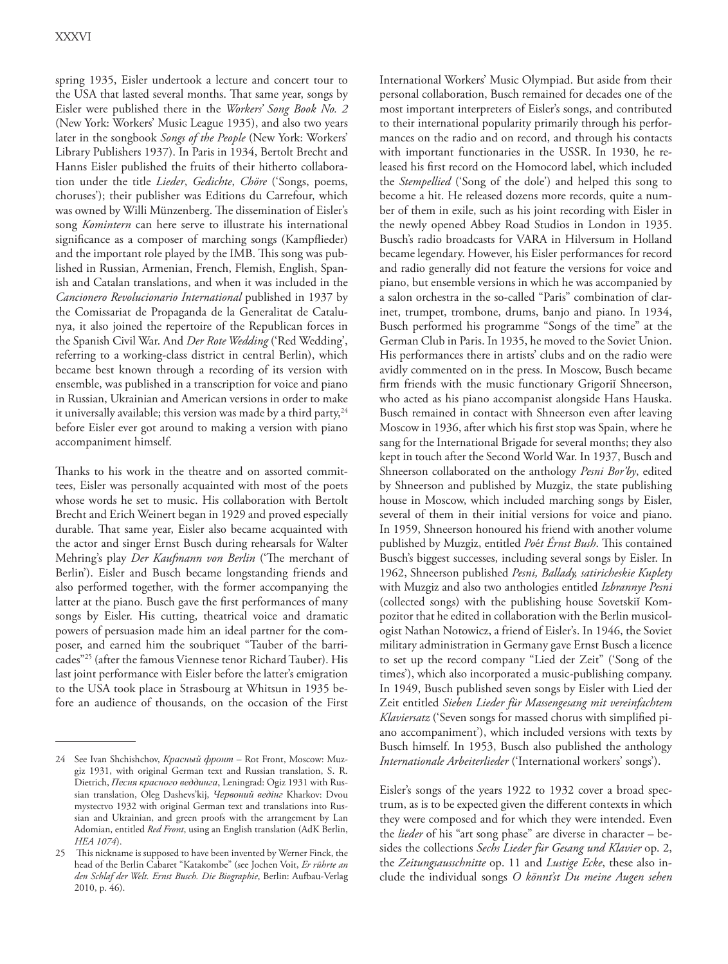spring 1935, Eisler undertook a lecture and concert tour to the USA that lasted several months. That same year, songs by Eisler were published there in the *Workers' Song Book No. 2* (New York: Workers' Music League 1935), and also two years later in the songbook *Songs of the People* (New York: Workers' Library Publishers 1937). In Paris in 1934, Bertolt Brecht and Hanns Eisler published the fruits of their hitherto collaboration under the title *Lieder*, *Gedichte*, *Chöre* ('Songs, poems, choruses'); their publisher was Editions du Carrefour, which was owned by Willi Münzenberg. The dissemination of Eisler's song *Komintern* can here serve to illustrate his international significance as a composer of marching songs (Kampflieder) and the important role played by the IMB. This song was published in Russian, Armenian, French, Flemish, English, Spanish and Catalan translations, and when it was included in the *Cancionero Revolucionario International* published in 1937 by the Comissariat de Propaganda de la Generalitat de Catalunya, it also joined the repertoire of the Republican forces in the Spanish Civil War. And *Der Rote Wedding* ('Red Wedding', referring to a working-class district in central Berlin), which became best known through a recording of its version with ensemble, was published in a transcription for voice and piano in Russian, Ukrainian and American versions in order to make it universally available; this version was made by a third party, $24$ before Eisler ever got around to making a version with piano accompaniment himself.

Thanks to his work in the theatre and on assorted committees, Eisler was personally acquainted with most of the poets whose words he set to music. His collaboration with Bertolt Brecht and Erich Weinert began in 1929 and proved especially durable. That same year, Eisler also became acquainted with the actor and singer Ernst Busch during rehearsals for Walter Mehring's play *Der Kaufmann von Berlin* ('The merchant of Berlin'). Eisler and Busch became longstanding friends and also performed together, with the former accompanying the latter at the piano. Busch gave the first performances of many songs by Eisler. His cutting, theatrical voice and dramatic powers of persuasion made him an ideal partner for the composer, and earned him the soubriquet "Tauber of the barricades"25 (after the famous Viennese tenor Richard Tauber). His last joint performance with Eisler before the latter's emigration to the USA took place in Strasbourg at Whitsun in 1935 before an audience of thousands, on the occasion of the First

International Workers' Music Olympiad. But aside from their personal collaboration, Busch remained for decades one of the most important interpreters of Eisler's songs, and contributed to their international popularity primarily through his performances on the radio and on record, and through his contacts with important functionaries in the USSR. In 1930, he released his first record on the Homocord label, which included the *Stempellied* ('Song of the dole') and helped this song to become a hit. He released dozens more records, quite a number of them in exile, such as his joint recording with Eisler in the newly opened Abbey Road Studios in London in 1935. Busch's radio broadcasts for VARA in Hilversum in Holland became legendary. However, his Eisler performances for record and radio generally did not feature the versions for voice and piano, but ensemble versions in which he was accompanied by a salon orchestra in the so-called "Paris" combination of clarinet, trumpet, trombone, drums, banjo and piano. In 1934, Busch performed his programme "Songs of the time" at the German Club in Paris. In 1935, he moved to the Soviet Union. His performances there in artists' clubs and on the radio were avidly commented on in the press. In Moscow, Busch became firm friends with the music functionary Grigoriĭ Shneerson, who acted as his piano accompanist alongside Hans Hauska. Busch remained in contact with Shneerson even after leaving Moscow in 1936, after which his first stop was Spain, where he sang for the International Brigade for several months; they also kept in touch after the Second World War. In 1937, Busch and Shneerson collaborated on the anthology *Pesni Bor'by*, edited by Shneerson and published by Muzgiz, the state publishing house in Moscow, which included marching songs by Eisler, several of them in their initial versions for voice and piano. In 1959, Shneerson honoured his friend with another volume published by Muzgiz, entitled *Po*é*t Érnst Bush*. This contained Busch's biggest successes, including several songs by Eisler. In 1962, Shneerson published *Pesni, Ballady, satiricheskie Kuplety* with Muzgiz and also two anthologies entitled *Izbrannye Pesni* (collected songs) with the publishing house Sovetskiĭ Kompozitor that he edited in collaboration with the Berlin musicologist Nathan Notowicz, a friend of Eisler's. In 1946, the Soviet military administration in Germany gave Ernst Busch a licence to set up the record company "Lied der Zeit" ('Song of the times'), which also incorporated a music-publishing company. In 1949, Busch published seven songs by Eisler with Lied der Zeit entitled *Sieben Lieder für Massengesang mit vereinfachtem Klaviersatz* ('Seven songs for massed chorus with simplified piano accompaniment'), which included versions with texts by Busch himself. In 1953, Busch also published the anthology *Internationale Arbeiterlieder* ('International workers' songs').

Eisler's songs of the years 1922 to 1932 cover a broad spectrum, as is to be expected given the different contexts in which they were composed and for which they were intended. Even the *lieder* of his "art song phase" are diverse in character – besides the collections *Sechs Lieder für Gesang und Klavier* op. 2, the *Zeitungsausschnitte* op. 11 and *Lustige Ecke*, these also include the individual songs *O könnt'st Du meine Augen sehen* 

<sup>24</sup> See Ivan Shchishchov, *Красный фрoнт* – Rot Front, Moscow: Muzgiz 1931, with original German text and Russian translation, S. R. Dietrich, *Песня красного веддинга*, Leningrad: Ogiz 1931 with Russian translation, Oleg Dashevs'kij, *Червоний ведiнг* Kharkov: Dvou mystectvo 1932 with original German text and translations into Russian and Ukrainian, and green proofs with the arrangement by Lan Adomian, entitled *Red Front*, using an English translation (AdK Berlin, *HEA 1074*).

<sup>25</sup> This nickname is supposed to have been invented by Werner Finck, the head of the Berlin Cabaret "Katakombe" (see Jochen Voit, *Er rührte an den Schlaf der Welt. Ernst Busch. Die Biographie*, Berlin: Aufbau-Verlag 2010, p. 46).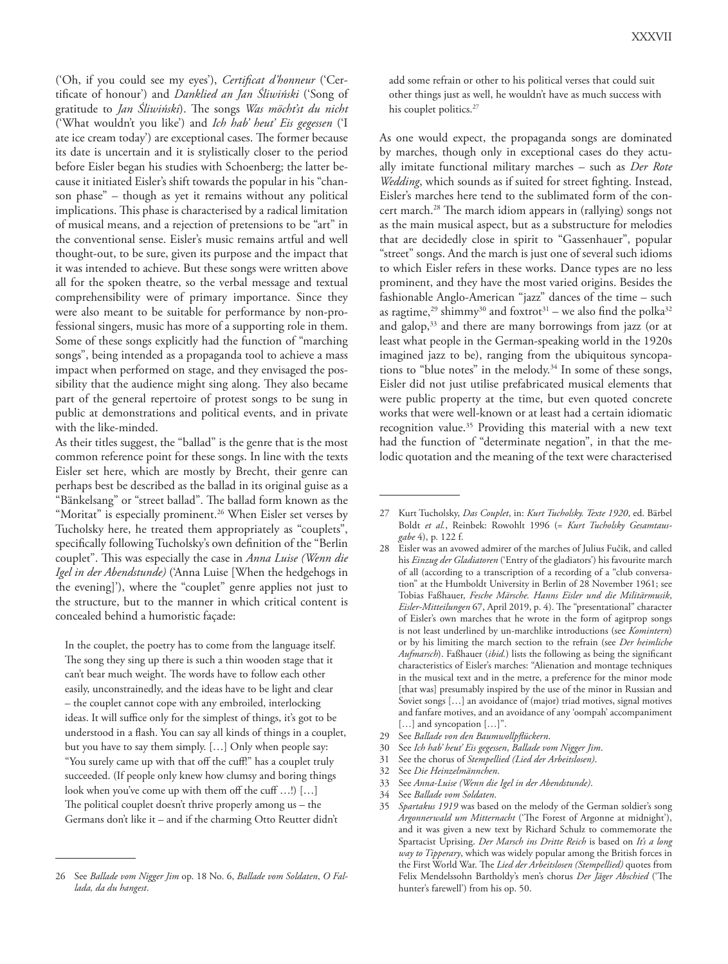('Oh, if you could see my eyes'), *Certificat d'honneur* ('Certificate of honour') and *Danklied an Jan Śliwiński* ('Song of gratitude to *Jan Śliwiński*). The songs *Was möcht'st du nicht* ('What wouldn't you like') and *Ich hab' heut' Eis gegessen* ('I ate ice cream today') are exceptional cases. The former because its date is uncertain and it is stylistically closer to the period before Eisler began his studies with Schoenberg; the latter because it initiated Eisler's shift towards the popular in his "chanson phase" – though as yet it remains without any political implications. This phase is characterised by a radical limitation of musical means, and a rejection of pretensions to be "art" in the conventional sense. Eisler's music remains artful and well thought-out, to be sure, given its purpose and the impact that it was intended to achieve. But these songs were written above all for the spoken theatre, so the verbal message and textual comprehensibility were of primary importance. Since they were also meant to be suitable for performance by non-professional singers, music has more of a supporting role in them. Some of these songs explicitly had the function of "marching songs", being intended as a propaganda tool to achieve a mass impact when performed on stage, and they envisaged the possibility that the audience might sing along. They also became part of the general repertoire of protest songs to be sung in public at demonstrations and political events, and in private with the like-minded.

As their titles suggest, the "ballad" is the genre that is the most common reference point for these songs. In line with the texts Eisler set here, which are mostly by Brecht, their genre can perhaps best be described as the ballad in its original guise as a "Bänkelsang" or "street ballad". The ballad form known as the "Moritat" is especially prominent.<sup>26</sup> When Eisler set verses by Tucholsky here, he treated them appropriately as "couplets", specifically following Tucholsky's own definition of the "Berlin couplet". This was especially the case in *Anna Luise (Wenn die Igel in der Abendstunde)* ('Anna Luise [When the hedgehogs in the evening]'), where the "couplet" genre applies not just to the structure, but to the manner in which critical content is concealed behind a humoristic façade:

In the couplet, the poetry has to come from the language itself. The song they sing up there is such a thin wooden stage that it can't bear much weight. The words have to follow each other easily, unconstrainedly, and the ideas have to be light and clear – the couplet cannot cope with any embroiled, interlocking ideas. It will suffice only for the simplest of things, it's got to be understood in a flash. You can say all kinds of things in a couplet, but you have to say them simply. […] Only when people say: "You surely came up with that off the cuff!" has a couplet truly succeeded. (If people only knew how clumsy and boring things look when you've come up with them off the cuff …!) […] The political couplet doesn't thrive properly among us – the Germans don't like it – and if the charming Otto Reutter didn't

add some refrain or other to his political verses that could suit other things just as well, he wouldn't have as much success with his couplet politics.<sup>27</sup>

As one would expect, the propaganda songs are dominated by marches, though only in exceptional cases do they actually imitate functional military marches – such as *Der Rote Wedding*, which sounds as if suited for street fighting. Instead, Eisler's marches here tend to the sublimated form of the concert march.28 The march idiom appears in (rallying) songs not as the main musical aspect, but as a substructure for melodies that are decidedly close in spirit to "Gassenhauer", popular "street" songs. And the march is just one of several such idioms to which Eisler refers in these works. Dance types are no less prominent, and they have the most varied origins. Besides the fashionable Anglo-American "jazz" dances of the time – such as ragtime,<sup>29</sup> shimmy<sup>30</sup> and foxtrot<sup>31</sup> – we also find the polka<sup>32</sup> and galop,<sup>33</sup> and there are many borrowings from jazz (or at least what people in the German-speaking world in the 1920s imagined jazz to be), ranging from the ubiquitous syncopations to "blue notes" in the melody.<sup>34</sup> In some of these songs, Eisler did not just utilise prefabricated musical elements that were public property at the time, but even quoted concrete works that were well-known or at least had a certain idiomatic recognition value.<sup>35</sup> Providing this material with a new text had the function of "determinate negation", in that the melodic quotation and the meaning of the text were characterised

31 See the chorus of *Stempellied (Lied der Arbeitslosen)*.

- 33 See *Anna-Luise (Wenn die Igel in der Abendstunde)*.
- 34 See *Ballade vom Soldaten*.

<sup>26</sup> See *Ballade vom Nigger Jim* op. 18 No. 6, *Ballade vom Soldaten*, *O Fallada, da du hangest*.

<sup>27</sup> Kurt Tucholsky, *Das Couplet*, in: *Kurt Tucholsky. Texte 1920*, ed. Bärbel Boldt *et al.*, Reinbek: Rowohlt 1996 (= *Kurt Tucholsky Gesamtausgabe* 4), p. 122 f.

<sup>28</sup> Eisler was an avowed admirer of the marches of Julius Fučik, and called his *Einzug der Gladiatoren* ('Entry of the gladiators') his favourite march of all (according to a transcription of a recording of a "club conversation" at the Humboldt University in Berlin of 28 November 1961; see Tobias Faßhauer, *Fesche Märsche. Hanns Eisler und die Militärmusik*, *Eisler-Mitteilungen* 67, April 2019, p. 4). The "presentational" character of Eisler's own marches that he wrote in the form of agitprop songs is not least underlined by un-marchlike introductions (see *Komintern*) or by his limiting the march section to the refrain (see *Der heimliche Aufmarsch*). Faßhauer (*ibid.*) lists the following as being the significant characteristics of Eisler's marches: "Alienation and montage techniques in the musical text and in the metre, a preference for the minor mode [that was] presumably inspired by the use of the minor in Russian and Soviet songs […] an avoidance of (major) triad motives, signal motives and fanfare motives, and an avoidance of any 'oompah' accompaniment [...] and syncopation [...]".

<sup>29</sup> See *Ballade von den Baumwollpflückern*.

<sup>30</sup> See *Ich hab' heut' Eis gegessen*, *Ballade vom Nigger Jim*.

<sup>32</sup> See *Die Heinzelmännchen*.

<sup>35</sup> *Spartakus 1919* was based on the melody of the German soldier's song *Argonnerwald um Mitternacht* ('The Forest of Argonne at midnight'), and it was given a new text by Richard Schulz to commemorate the Spartacist Uprising. *Der Marsch ins Dritte Reich* is based on *It's a long way to Tipperary*, which was widely popular among the British forces in the First World War. The *Lied der Arbeitslosen (Stempellied)* quotes from Felix Mendelssohn Bartholdy's men's chorus *Der Jäger Abschied* ('The hunter's farewell') from his op. 50.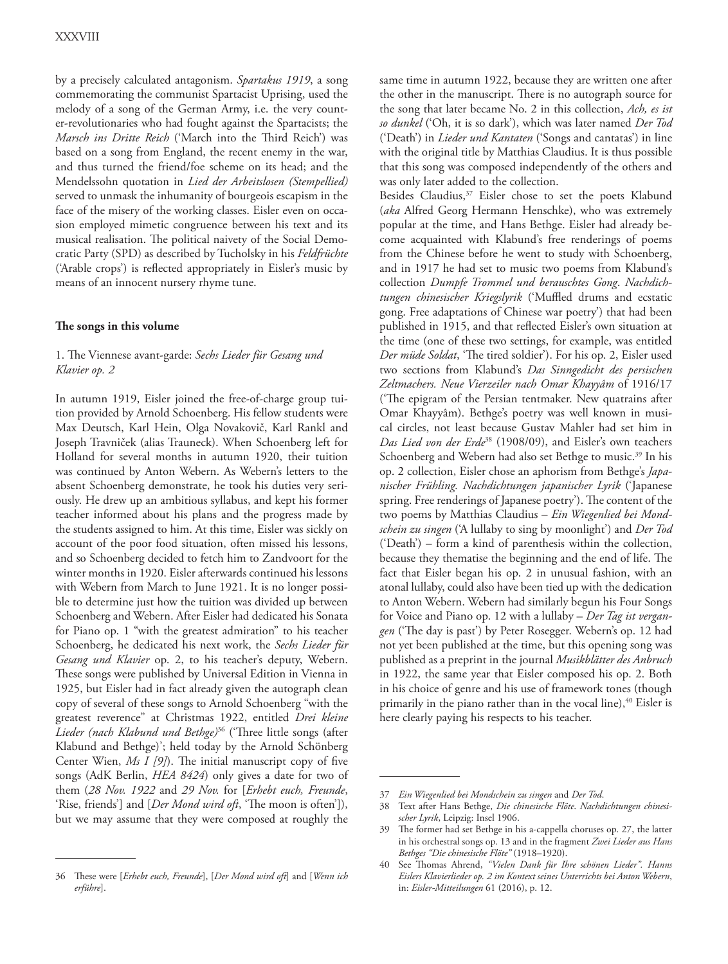by a precisely calculated antagonism. *Spartakus 1919*, a song commemorating the communist Spartacist Uprising, used the melody of a song of the German Army, i.e. the very counter-revolutionaries who had fought against the Spartacists; the *Marsch ins Dritte Reich* ('March into the Third Reich') was based on a song from England, the recent enemy in the war, and thus turned the friend/foe scheme on its head; and the Mendelssohn quotation in *Lied der Arbeitslosen (Stempellied)* served to unmask the inhumanity of bourgeois escapism in the face of the misery of the working classes. Eisler even on occasion employed mimetic congruence between his text and its musical realisation. The political naivety of the Social Democratic Party (SPD) as described by Tucholsky in his *Feldfrüchte* ('Arable crops') is reflected appropriately in Eisler's music by means of an innocent nursery rhyme tune.

#### **The songs in this volume**

## 1. The Viennese avant-garde: *Sechs Lieder für Gesang und Klavier op. 2*

In autumn 1919, Eisler joined the free-of-charge group tuition provided by Arnold Schoenberg. His fellow students were Max Deutsch, Karl Hein, Olga Novakovič, Karl Rankl and Joseph Travniček (alias Trauneck). When Schoenberg left for Holland for several months in autumn 1920, their tuition was continued by Anton Webern. As Webern's letters to the absent Schoenberg demonstrate, he took his duties very seriously. He drew up an ambitious syllabus, and kept his former teacher informed about his plans and the progress made by the students assigned to him. At this time, Eisler was sickly on account of the poor food situation, often missed his lessons, and so Schoenberg decided to fetch him to Zandvoort for the winter months in 1920. Eisler afterwards continued his lessons with Webern from March to June 1921. It is no longer possible to determine just how the tuition was divided up between Schoenberg and Webern. After Eisler had dedicated his Sonata for Piano op. 1 "with the greatest admiration" to his teacher Schoenberg, he dedicated his next work, the *Sechs Lieder für Gesang und Klavier* op. 2, to his teacher's deputy, Webern. These songs were published by Universal Edition in Vienna in 1925, but Eisler had in fact already given the autograph clean copy of several of these songs to Arnold Schoenberg "with the greatest reverence" at Christmas 1922, entitled *Drei kleine Lieder (nach Klabund und Bethge)*<sup>36</sup> ('Three little songs (after Klabund and Bethge)'; held today by the Arnold Schönberg Center Wien, *Ms I [9]*). The initial manuscript copy of five songs (AdK Berlin, *HEA 8424*) only gives a date for two of them (*28 Nov. 1922* and *29 Nov.* for [*Erhebt euch, Freunde*, 'Rise, friends'] and [*Der Mond wird oft*, 'The moon is often']), but we may assume that they were composed at roughly the

same time in autumn 1922, because they are written one after the other in the manuscript. There is no autograph source for the song that later became No. 2 in this collection, *Ach, es ist so dunkel* ('Oh, it is so dark'), which was later named *Der Tod*  ('Death') in *Lieder und Kantaten* ('Songs and cantatas') in line with the original title by Matthias Claudius. It is thus possible that this song was composed independently of the others and was only later added to the collection.

Besides Claudius,<sup>37</sup> Eisler chose to set the poets Klabund (*aka* Alfred Georg Hermann Henschke), who was extremely popular at the time, and Hans Bethge. Eisler had already become acquainted with Klabund's free renderings of poems from the Chinese before he went to study with Schoenberg, and in 1917 he had set to music two poems from Klabund's collection *Dumpfe Trommel und berauschtes Gong*. *Nachdichtungen chinesischer Kriegslyrik* ('Muffled drums and ecstatic gong. Free adaptations of Chinese war poetry') that had been published in 1915, and that reflected Eisler's own situation at the time (one of these two settings, for example, was entitled *Der müde Soldat*, 'The tired soldier'). For his op. 2, Eisler used two sections from Klabund's *Das Sinngedicht des persischen Zeltmachers. Neue Vierzeiler nach Omar Khayyâm* of 1916/17 ('The epigram of the Persian tentmaker. New quatrains after Omar Khayyâm). Bethge's poetry was well known in musical circles, not least because Gustav Mahler had set him in *Das Lied von der Erde*38 (1908/09), and Eisler's own teachers Schoenberg and Webern had also set Bethge to music.<sup>39</sup> In his op. 2 collection, Eisler chose an aphorism from Bethge's *Japanischer Frühling. Nachdichtungen japanischer Lyrik* ('Japanese spring. Free renderings of Japanese poetry'). The content of the two poems by Matthias Claudius – *Ein Wiegenlied bei Mondschein zu singen* ('A lullaby to sing by moonlight') and *Der Tod* ('Death') – form a kind of parenthesis within the collection, because they thematise the beginning and the end of life. The fact that Eisler began his op. 2 in unusual fashion, with an atonal lullaby, could also have been tied up with the dedication to Anton Webern. Webern had similarly begun his Four Songs for Voice and Piano op. 12 with a lullaby – *Der Tag ist vergangen* ('The day is past') by Peter Rosegger. Webern's op. 12 had not yet been published at the time, but this opening song was published as a preprint in the journal *Musikblätter des Anbruch* in 1922, the same year that Eisler composed his op. 2. Both in his choice of genre and his use of framework tones (though primarily in the piano rather than in the vocal line), $40$  Eisler is here clearly paying his respects to his teacher.

<sup>36</sup> These were [*Erhebt euch, Freunde*], [*Der Mond wird oft*] and [*Wenn ich erführe*].

<sup>37</sup> *Ein Wiegenlied bei Mondschein zu singen* and *Der Tod*.

<sup>38</sup> Text after Hans Bethge, *Die chinesische Flöte*. *Nachdichtungen chinesischer Lyrik*, Leipzig: Insel 1906.

<sup>39</sup> The former had set Bethge in his a-cappella choruses op. 27, the latter in his orchestral songs op. 13 and in the fragment *Zwei Lieder aus Hans Bethges "Die chinesische Flöte"* (1918–1920).

<sup>40</sup> See Thomas Ahrend, *"Vielen Dank für Ihre schönen Lieder". Hanns Eislers Klavierlieder op. 2 im Kontext seines Unterrichts bei Anton Webern*, in: *Eisler-Mitteilungen* 61 (2016), p. 12.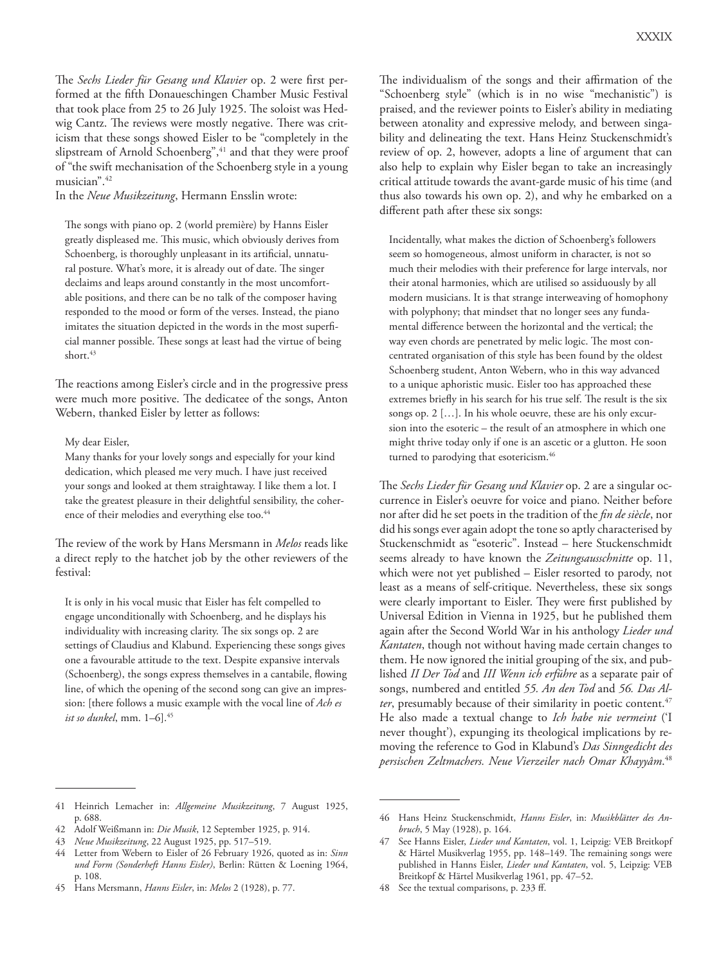The *Sechs Lieder für Gesang und Klavier* op. 2 were first performed at the fifth Donaueschingen Chamber Music Festival that took place from 25 to 26 July 1925. The soloist was Hedwig Cantz. The reviews were mostly negative. There was criticism that these songs showed Eisler to be "completely in the slipstream of Arnold Schoenberg",<sup>41</sup> and that they were proof of "the swift mechanisation of the Schoenberg style in a young musician".42

In the *Neue Musikzeitung*, Hermann Ensslin wrote:

The songs with piano op. 2 (world première) by Hanns Eisler greatly displeased me. This music, which obviously derives from Schoenberg, is thoroughly unpleasant in its artificial, unnatural posture. What's more, it is already out of date. The singer declaims and leaps around constantly in the most uncomfortable positions, and there can be no talk of the composer having responded to the mood or form of the verses. Instead, the piano imitates the situation depicted in the words in the most superficial manner possible. These songs at least had the virtue of being short.<sup>43</sup>

The reactions among Eisler's circle and in the progressive press were much more positive. The dedicatee of the songs, Anton Webern, thanked Eisler by letter as follows:

#### My dear Eisler,

Many thanks for your lovely songs and especially for your kind dedication, which pleased me very much. I have just received your songs and looked at them straightaway. I like them a lot. I take the greatest pleasure in their delightful sensibility, the coherence of their melodies and everything else too.<sup>44</sup>

The review of the work by Hans Mersmann in *Melos* reads like a direct reply to the hatchet job by the other reviewers of the festival:

It is only in his vocal music that Eisler has felt compelled to engage unconditionally with Schoenberg, and he displays his individuality with increasing clarity. The six songs op. 2 are settings of Claudius and Klabund. Experiencing these songs gives one a favourable attitude to the text. Despite expansive intervals (Schoenberg), the songs express themselves in a cantabile, flowing line, of which the opening of the second song can give an impression: [there follows a music example with the vocal line of *Ach es ist so dunkel*, mm. 1–6].45

The individualism of the songs and their affirmation of the "Schoenberg style" (which is in no wise "mechanistic") is praised, and the reviewer points to Eisler's ability in mediating between atonality and expressive melody, and between singability and delineating the text. Hans Heinz Stuckenschmidt's review of op. 2, however, adopts a line of argument that can also help to explain why Eisler began to take an increasingly critical attitude towards the avant-garde music of his time (and thus also towards his own op. 2), and why he embarked on a different path after these six songs:

Incidentally, what makes the diction of Schoenberg's followers seem so homogeneous, almost uniform in character, is not so much their melodies with their preference for large intervals, nor their atonal harmonies, which are utilised so assiduously by all modern musicians. It is that strange interweaving of homophony with polyphony; that mindset that no longer sees any fundamental difference between the horizontal and the vertical; the way even chords are penetrated by melic logic. The most concentrated organisation of this style has been found by the oldest Schoenberg student, Anton Webern, who in this way advanced to a unique aphoristic music. Eisler too has approached these extremes briefly in his search for his true self. The result is the six songs op. 2 […]. In his whole oeuvre, these are his only excursion into the esoteric – the result of an atmosphere in which one might thrive today only if one is an ascetic or a glutton. He soon turned to parodying that esotericism.<sup>46</sup>

The *Sechs Lieder für Gesang und Klavier* op. 2 are a singular occurrence in Eisler's oeuvre for voice and piano. Neither before nor after did he set poets in the tradition of the *fin de siècle*, nor did his songs ever again adopt the tone so aptly characterised by Stuckenschmidt as "esoteric". Instead – here Stuckenschmidt seems already to have known the *Zeitungsausschnitte* op. 11, which were not yet published – Eisler resorted to parody, not least as a means of self-critique. Nevertheless, these six songs were clearly important to Eisler. They were first published by Universal Edition in Vienna in 1925, but he published them again after the Second World War in his anthology *Lieder und Kantaten*, though not without having made certain changes to them. He now ignored the initial grouping of the six, and published *II Der Tod* and *III Wenn ich erführe* as a separate pair of songs, numbered and entitled *55. An den Tod* and *56. Das Alter*, presumably because of their similarity in poetic content.<sup>47</sup> He also made a textual change to *Ich habe nie vermeint* ('I never thought'), expunging its theological implications by removing the reference to God in Klabund's *Das Sinngedicht des persischen Zeltmachers. Neue Vierzeiler nach Omar Khayyâm*. 48

<sup>41</sup> Heinrich Lemacher in: *Allgemeine Musikzeitung*, 7 August 1925, p. 688.

<sup>42</sup> Adolf Weißmann in: *Die Musik*, 12 September 1925, p. 914.

<sup>43</sup> *Neue Musikzeitung*, 22 August 1925, pp. 517–519.

<sup>44</sup> Letter from Webern to Eisler of 26 February 1926, quoted as in: *Sinn und Form (Sonderheft Hanns Eisler)*, Berlin: Rütten & Loening 1964, p. 108.

<sup>45</sup> Hans Mersmann, *Hanns Eisler*, in: *Melos* 2 (1928), p. 77.

<sup>46</sup> Hans Heinz Stuckenschmidt, *Hanns Eisler*, in: *Musikblätter des Anbruch*, 5 May (1928), p. 164.

<sup>47</sup> See Hanns Eisler, *Lieder und Kantaten*, vol. 1, Leipzig: VEB Breitkopf & Härtel Musikverlag 1955, pp. 148–149. The remaining songs were published in Hanns Eisler, *Lieder und Kantaten*, vol. 5, Leipzig: VEB Breitkopf & Härtel Musikverlag 1961, pp. 47–52.

<sup>48</sup> See the textual comparisons, p. 233 ff.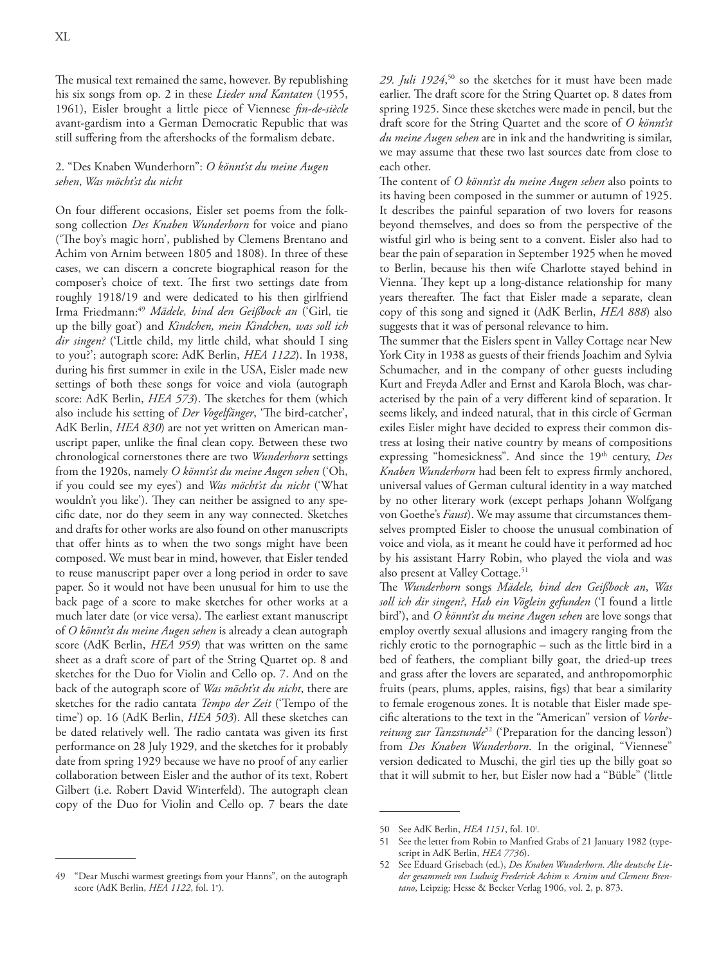The musical text remained the same, however. By republishing his six songs from op. 2 in these *Lieder und Kantaten* (1955, 1961), Eisler brought a little piece of Viennese *fin-de-siècle* avant-gardism into a German Democratic Republic that was still suffering from the aftershocks of the formalism debate.

# 2. "Des Knaben Wunderhorn": *O könnt'st du meine Augen sehen*, *Was möcht'st du nicht*

On four different occasions, Eisler set poems from the folksong collection *Des Knaben Wunderhorn* for voice and piano ('The boy's magic horn', published by Clemens Brentano and Achim von Arnim between 1805 and 1808). In three of these cases, we can discern a concrete biographical reason for the composer's choice of text. The first two settings date from roughly 1918/19 and were dedicated to his then girlfriend Irma Friedmann:49 *Mädele, bind den Geißbock an* ('Girl, tie up the billy goat') and *Kindchen, mein Kindchen, was soll ich dir singen?* ('Little child, my little child, what should I sing to you?'; autograph score: AdK Berlin, *HEA 1122*). In 1938, during his first summer in exile in the USA, Eisler made new settings of both these songs for voice and viola (autograph score: AdK Berlin, *HEA 573*). The sketches for them (which also include his setting of *Der Vogelfänger*, 'The bird-catcher', AdK Berlin, *HEA 830*) are not yet written on American manuscript paper, unlike the final clean copy. Between these two chronological cornerstones there are two *Wunderhorn* settings from the 1920s, namely *O könnt'st du meine Augen sehen* ('Oh, if you could see my eyes') and *Was möcht'st du nicht* ('What wouldn't you like'). They can neither be assigned to any specific date, nor do they seem in any way connected. Sketches and drafts for other works are also found on other manuscripts that offer hints as to when the two songs might have been composed. We must bear in mind, however, that Eisler tended to reuse manuscript paper over a long period in order to save paper. So it would not have been unusual for him to use the back page of a score to make sketches for other works at a much later date (or vice versa). The earliest extant manuscript of *O könnt'st du meine Augen sehen* is already a clean autograph score (AdK Berlin, *HEA 959*) that was written on the same sheet as a draft score of part of the String Quartet op. 8 and sketches for the Duo for Violin and Cello op. 7. And on the back of the autograph score of *Was möcht'st du nicht*, there are sketches for the radio cantata *Tempo der Zeit* ('Tempo of the time') op. 16 (AdK Berlin, *HEA 503*). All these sketches can be dated relatively well. The radio cantata was given its first performance on 28 July 1929, and the sketches for it probably date from spring 1929 because we have no proof of any earlier collaboration between Eisler and the author of its text, Robert Gilbert (i.e. Robert David Winterfeld). The autograph clean copy of the Duo for Violin and Cello op. 7 bears the date

29. *Juli 1924*<sup>50</sup> so the sketches for it must have been made earlier. The draft score for the String Quartet op. 8 dates from spring 1925. Since these sketches were made in pencil, but the draft score for the String Quartet and the score of *O könnt'st du meine Augen sehen* are in ink and the handwriting is similar, we may assume that these two last sources date from close to each other.

The content of *O könnt'st du meine Augen sehen* also points to its having been composed in the summer or autumn of 1925. It describes the painful separation of two lovers for reasons beyond themselves, and does so from the perspective of the wistful girl who is being sent to a convent. Eisler also had to bear the pain of separation in September 1925 when he moved to Berlin, because his then wife Charlotte stayed behind in Vienna. They kept up a long-distance relationship for many years thereafter. The fact that Eisler made a separate, clean copy of this song and signed it (AdK Berlin, *HEA 888*) also suggests that it was of personal relevance to him.

The summer that the Eislers spent in Valley Cottage near New York City in 1938 as guests of their friends Joachim and Sylvia Schumacher, and in the company of other guests including Kurt and Freyda Adler and Ernst and Karola Bloch, was characterised by the pain of a very different kind of separation. It seems likely, and indeed natural, that in this circle of German exiles Eisler might have decided to express their common distress at losing their native country by means of compositions expressing "homesickness". And since the 19<sup>th</sup> century, Des *Knaben Wunderhorn* had been felt to express firmly anchored, universal values of German cultural identity in a way matched by no other literary work (except perhaps Johann Wolfgang von Goethe's *Faust*). We may assume that circumstances themselves prompted Eisler to choose the unusual combination of voice and viola, as it meant he could have it performed ad hoc by his assistant Harry Robin, who played the viola and was also present at Valley Cottage.<sup>51</sup>

The *Wunderhorn* songs *Mädele, bind den Geißbock an*, *Was soll ich dir singen?*, *Hab ein Vöglein gefunden* ('I found a little bird'), and *O könnt'st du meine Augen sehen* are love songs that employ overtly sexual allusions and imagery ranging from the richly erotic to the pornographic – such as the little bird in a bed of feathers, the compliant billy goat, the dried-up trees and grass after the lovers are separated, and anthropomorphic fruits (pears, plums, apples, raisins, figs) that bear a similarity to female erogenous zones. It is notable that Eisler made specific alterations to the text in the "American" version of *Vorbereitung zur Tanzstunde*52 ('Preparation for the dancing lesson') from *Des Knaben Wunderhorn*. In the original, "Viennese" version dedicated to Muschi, the girl ties up the billy goat so that it will submit to her, but Eisler now had a "Büble" ('little

<sup>50</sup> See AdK Berlin, *HEA 1151*, fol. 10r .

<sup>51</sup> See the letter from Robin to Manfred Grabs of 21 January 1982 (typescript in AdK Berlin, *HEA 7736*).

<sup>52</sup> See Eduard Grisebach (ed.), *Des Knaben Wunderhorn. Alte deutsche Lieder gesammelt von Ludwig Frederick Achim v. Arnim und Clemens Brentano*, Leipzig: Hesse & Becker Verlag 1906, vol. 2, p. 873.

<sup>49</sup> "Dear Muschi warmest greetings from your Hanns", on the autograph score (AdK Berlin, *HEA 1122*, fol. 1v ).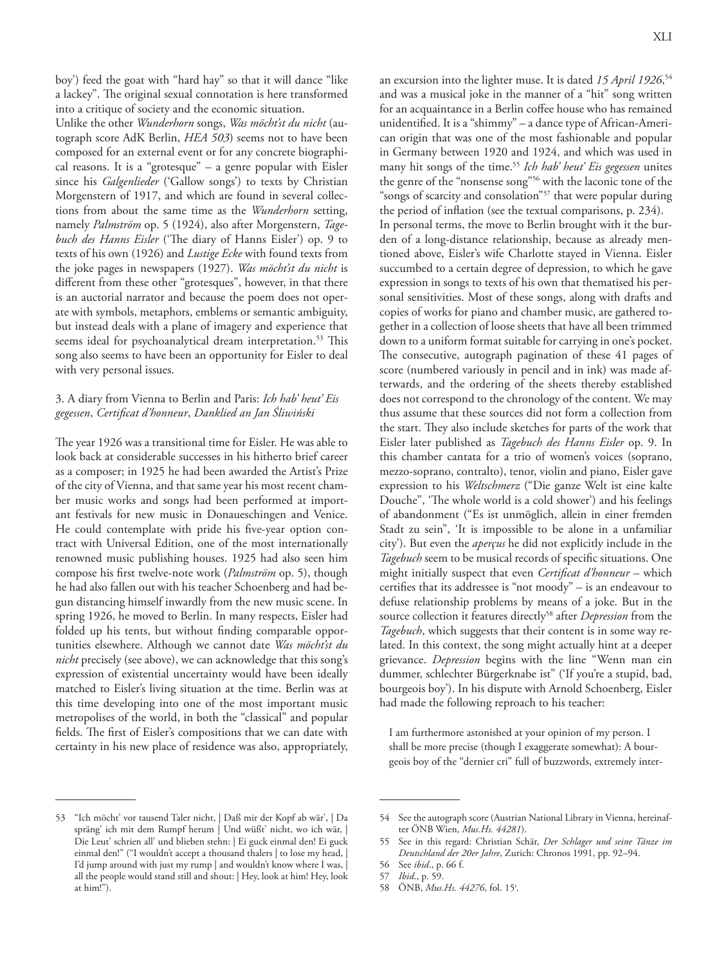boy') feed the goat with "hard hay" so that it will dance "like a lackey". The original sexual connotation is here transformed into a critique of society and the economic situation.

Unlike the other *Wunderhorn* songs, *Was möcht'st du nicht* (autograph score AdK Berlin, *HEA 503*) seems not to have been composed for an external event or for any concrete biographical reasons. It is a "grotesque" – a genre popular with Eisler since his *Galgenlieder* ('Gallow songs') to texts by Christian Morgenstern of 1917, and which are found in several collections from about the same time as the *Wunderhorn* setting, namely *Palmström* op. 5 (1924), also after Morgenstern, *Tagebuch des Hanns Eisler* ('The diary of Hanns Eisler') op. 9 to texts of his own (1926) and *Lustige Ecke* with found texts from the joke pages in newspapers (1927). *Was möcht'st du nicht* is different from these other "grotesques", however, in that there is an auctorial narrator and because the poem does not operate with symbols, metaphors, emblems or semantic ambiguity, but instead deals with a plane of imagery and experience that seems ideal for psychoanalytical dream interpretation.<sup>53</sup> This song also seems to have been an opportunity for Eisler to deal with very personal issues.

# 3. A diary from Vienna to Berlin and Paris: *Ich hab' heut' Eis gegessen*, *Certificat d'honneur*, *Danklied an Jan Śliwiński*

The year 1926 was a transitional time for Eisler. He was able to look back at considerable successes in his hitherto brief career as a composer; in 1925 he had been awarded the Artist's Prize of the city of Vienna, and that same year his most recent chamber music works and songs had been performed at important festivals for new music in Donaueschingen and Venice. He could contemplate with pride his five-year option contract with Universal Edition, one of the most internationally renowned music publishing houses. 1925 had also seen him compose his first twelve-note work (*Palmström* op. 5), though he had also fallen out with his teacher Schoenberg and had begun distancing himself inwardly from the new music scene. In spring 1926, he moved to Berlin. In many respects, Eisler had folded up his tents, but without finding comparable opportunities elsewhere. Although we cannot date *Was möcht'st du nicht* precisely (see above), we can acknowledge that this song's expression of existential uncertainty would have been ideally matched to Eisler's living situation at the time. Berlin was at this time developing into one of the most important music metropolises of the world, in both the "classical" and popular fields. The first of Eisler's compositions that we can date with certainty in his new place of residence was also, appropriately,

an excursion into the lighter muse. It is dated *15 April 1926*, 54 and was a musical joke in the manner of a "hit" song written for an acquaintance in a Berlin coffee house who has remained unidentified. It is a "shimmy" – a dance type of African-American origin that was one of the most fashionable and popular in Germany between 1920 and 1924, and which was used in many hit songs of the time.55 *Ich hab' heut' Eis gegessen* unites the genre of the "nonsense song"56 with the laconic tone of the "songs of scarcity and consolation"<sup>57</sup> that were popular during the period of inflation (see the textual comparisons, p. 234). In personal terms, the move to Berlin brought with it the burden of a long-distance relationship, because as already mentioned above, Eisler's wife Charlotte stayed in Vienna. Eisler succumbed to a certain degree of depression, to which he gave expression in songs to texts of his own that thematised his personal sensitivities. Most of these songs, along with drafts and copies of works for piano and chamber music, are gathered together in a collection of loose sheets that have all been trimmed down to a uniform format suitable for carrying in one's pocket. The consecutive, autograph pagination of these 41 pages of score (numbered variously in pencil and in ink) was made afterwards, and the ordering of the sheets thereby established does not correspond to the chronology of the content. We may thus assume that these sources did not form a collection from the start. They also include sketches for parts of the work that Eisler later published as *Tagebuch des Hanns Eisler* op. 9. In this chamber cantata for a trio of women's voices (soprano, mezzo-soprano, contralto), tenor, violin and piano, Eisler gave expression to his *Weltschmerz* ("Die ganze Welt ist eine kalte Douche", 'The whole world is a cold shower') and his feelings of abandonment ("Es ist unmöglich, allein in einer fremden Stadt zu sein", 'It is impossible to be alone in a unfamiliar city'). But even the *aperçus* he did not explicitly include in the *Tagebuch* seem to be musical records of specific situations. One might initially suspect that even *Certificat d'honneur* – which certifies that its addressee is "not moody" – is an endeavour to defuse relationship problems by means of a joke. But in the source collection it features directly<sup>58</sup> after *Depression* from the *Tagebuch*, which suggests that their content is in some way related. In this context, the song might actually hint at a deeper grievance. *Depression* begins with the line "Wenn man ein dummer, schlechter Bürgerknabe ist" ('If you're a stupid, bad, bourgeois boy'). In his dispute with Arnold Schoenberg, Eisler had made the following reproach to his teacher:

I am furthermore astonished at your opinion of my person. I shall be more precise (though I exaggerate somewhat): A bourgeois boy of the "dernier cri" full of buzzwords, extremely inter-

<sup>53</sup> "Ich möcht' vor tausend Taler nicht, | Daß mir der Kopf ab wär', | Da spräng' ich mit dem Rumpf herum | Und wüßt' nicht, wo ich wär, | Die Leut' schrien all' und blieben stehn: | Ei guck einmal den! Ei guck einmal den!" ("I wouldn't accept a thousand thalers | to lose my head, | I'd jump around with just my rump | and wouldn't know where I was, | all the people would stand still and shout: | Hey, look at him! Hey, look at him!").

<sup>54</sup> See the autograph score (Austrian National Library in Vienna, hereinafter ÖNB Wien, *Mus.Hs. 44281*).

<sup>55</sup> See in this regard: Christian Schär, *Der Schlager und seine Tänze im Deutschland der 20er Jahre*, Zurich: Chronos 1991, pp. 92–94.

<sup>56</sup> See *ibid*., p. 66 f.

<sup>57</sup> *Ibid*., p. 59.

<sup>58</sup> ÖNB, *Mus.Hs. 44276*, fol. 15r .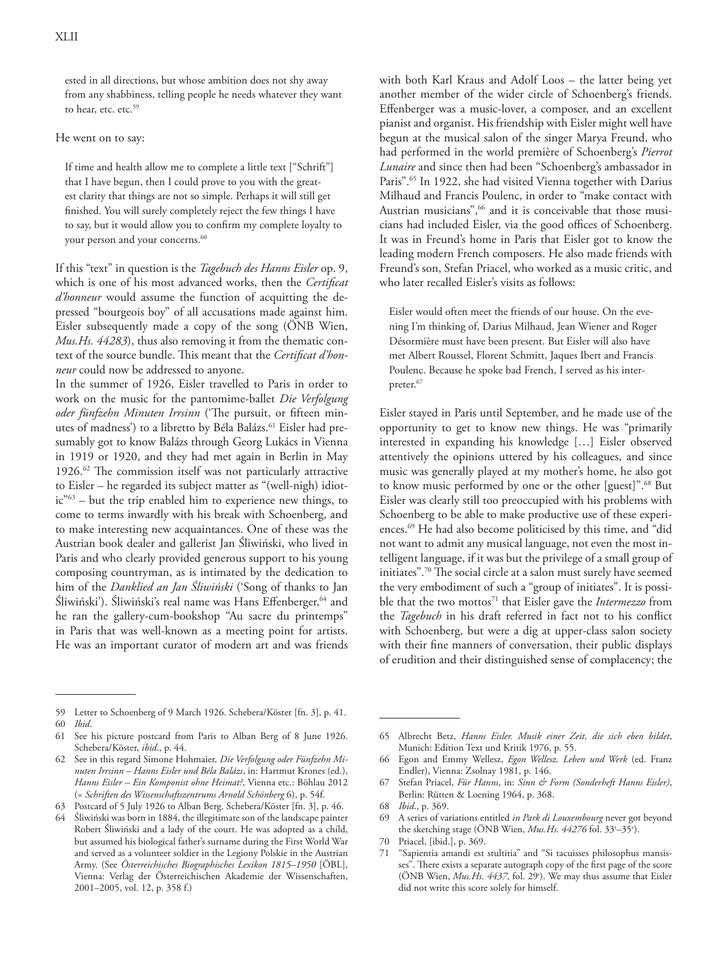ested in all directions, but whose ambition does not shy away from any shabbiness, telling people he needs whatever they want to hear, etc. etc.<sup>59</sup>

He went on to say:

If time and health allow me to complete a little text ["Schrift"] that I have begun, then I could prove to you with the greatest clarity that things are not so simple. Perhaps it will still get finished. You will surely completely reject the few things I have to say, but it would allow you to confirm my complete loyalty to your person and your concerns.<sup>60</sup>

If this "text" in question is the *Tagebuch des Hanns Eisler* op. 9, which is one of his most advanced works, then the *Certificat d'honneur* would assume the function of acquitting the depressed "bourgeois boy" of all accusations made against him. Eisler subsequently made a copy of the song (ÖNB Wien, *Mus.Hs. 44283*), thus also removing it from the thematic context of the source bundle. This meant that the *Certificat d'honneur* could now be addressed to anyone.

In the summer of 1926, Eisler travelled to Paris in order to work on the music for the pantomime-ballet *Die Verfolgung oder fünfzehn Minuten Irrsinn* ('The pursuit, or fifteen minutes of madness') to a libretto by Béla Balázs.<sup>61</sup> Eisler had presumably got to know Balázs through Georg Lukács in Vienna in 1919 or 1920, and they had met again in Berlin in May 1926.62 The commission itself was not particularly attractive to Eisler – he regarded its subject matter as "(well-nigh) idiotic"63 – but the trip enabled him to experience new things, to come to terms inwardly with his break with Schoenberg, and to make interesting new acquaintances. One of these was the Austrian book dealer and gallerist Jan Śliwiński, who lived in Paris and who clearly provided generous support to his young composing countryman, as is intimated by the dedication to him of the *Danklied an Jan Śliwiński* ('Song of thanks to Jan Śliwiński'). Śliwiński's real name was Hans Effenberger, 64 and he ran the gallery-cum-bookshop "Au sacre du printemps" in Paris that was well-known as a meeting point for artists. He was an important curator of modern art and was friends

59 Letter to Schoenberg of 9 March 1926. Schebera/Köster [fn. 3], p. 41. 60 *Ibid*.

with both Karl Kraus and Adolf Loos – the latter being yet another member of the wider circle of Schoenberg's friends. Effenberger was a music-lover, a composer, and an excellent pianist and organist. His friendship with Eisler might well have begun at the musical salon of the singer Marya Freund, who had performed in the world première of Schoenberg's *Pierrot Lunaire* and since then had been "Schoenberg's ambassador in Paris".<sup>65</sup> In 1922, she had visited Vienna together with Darius Milhaud and Francis Poulenc, in order to "make contact with Austrian musicians",<sup>66</sup> and it is conceivable that those musicians had included Eisler, via the good offices of Schoenberg. It was in Freund's home in Paris that Eisler got to know the leading modern French composers. He also made friends with Freund's son, Stefan Priacel, who worked as a music critic, and who later recalled Eisler's visits as follows:

Eisler would often meet the friends of our house. On the evening I'm thinking of, Darius Milhaud, Jean Wiener and Roger Désormière must have been present. But Eisler will also have met Albert Roussel, Florent Schmitt, Jaques Ibert and Francis Poulenc. Because he spoke bad French, I served as his interpreter.<sup>67</sup>

Eisler stayed in Paris until September, and he made use of the opportunity to get to know new things. He was "primarily interested in expanding his knowledge […] Eisler observed attentively the opinions uttered by his colleagues, and since music was generally played at my mother's home, he also got to know music performed by one or the other [guest]".<sup>68</sup> But Eisler was clearly still too preoccupied with his problems with Schoenberg to be able to make productive use of these experiences.69 He had also become politicised by this time, and "did not want to admit any musical language, not even the most intelligent language, if it was but the privilege of a small group of initiates".70 The social circle at a salon must surely have seemed the very embodiment of such a "group of initiates". It is possible that the two mottos<sup>71</sup> that Eisler gave the *Intermezzo* from the *Tagebuch* in his draft referred in fact not to his conflict with Schoenberg, but were a dig at upper-class salon society with their fine manners of conversation, their public displays of erudition and their distinguished sense of complacency; the

- 69 A series of variations entitled *in Park di Louxembourg* never got beyond the sketching stage (ÖNB Wien, *Mus.Hs. 44276* fol. 33<sup>r</sup>–35<sup>v</sup>).
- 70 Priacel, [ibid.], p. 369.
- 71 "Sapientia amandi est stultitia" and "Si tacuisses philosophus mansisses". There exists a separate autograph copy of the first page of the score (ÖNB Wien, *Mus.Hs. 4437*, fol. 29r ). We may thus assume that Eisler did not write this score solely for himself.

<sup>61</sup> See his picture postcard from Paris to Alban Berg of 8 June 1926. Schebera/Köster, *ibid*., p. 44.

<sup>62</sup> See in this regard Simone Hohmaier, *Die Verfolgung oder Fünfzehn Minuten Irrsinn – Hanns Eisler und Béla Balázs*, in: Hartmut Krones (ed.), *Hanns Eisler – Ein Komponist ohne Heimat?*, Vienna etc.: Böhlau 2012 (= *Schriften des Wissenschaftszentrums Arnold Schönberg* 6), p. 54f.

Postcard of 5 July 1926 to Alban Berg. Schebera/Köster [fn. 3], p. 46.

<sup>64</sup> Śliwiński was born in 1884, the illegitimate son of the landscape painter Robert Śliwiński and a lady of the court. He was adopted as a child, but assumed his biological father's surname during the First World War and served as a volunteer soldier in the Legiony Polskie in the Austrian Army. (See *Österreichisches Biographisches Lexikon 1815–1950* [ÖBL], Vienna: Verlag der Österreichischen Akademie der Wissenschaften, 2001–2005, vol. 12, p. 358 f.)

<sup>65</sup> Albrecht Betz, *Hanns Eisler. Musik einer Zeit, die sich eben bildet*, Munich: Edition Text und Kritik 1976, p. 55.

<sup>66</sup> Egon and Emmy Wellesz, *Egon Wellesz. Leben und Werk* (ed. Franz Endler), Vienna: Zsolnay 1981, p. 146.

<sup>67</sup> Stefan Priacel, *Für Hanns*, in: *Sinn & Form (Sonderheft Hanns Eisler)*, Berlin: Rütten & Loening 1964, p. 368.

<sup>68</sup> *Ibid*., p. 369.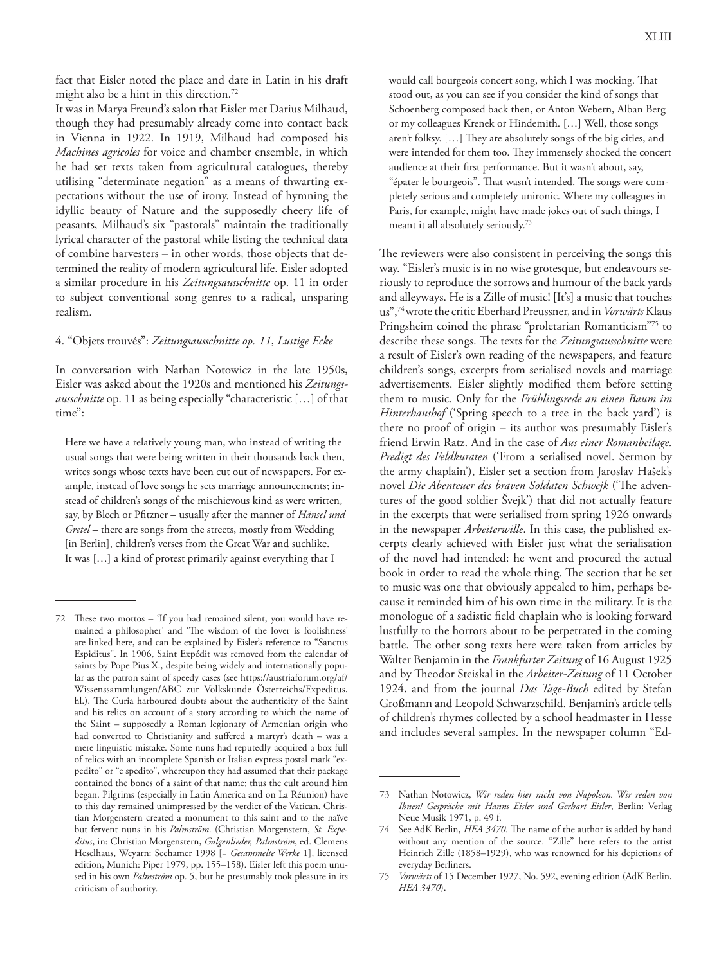It was in Marya Freund's salon that Eisler met Darius Milhaud, though they had presumably already come into contact back in Vienna in 1922. In 1919, Milhaud had composed his *Machines agricoles* for voice and chamber ensemble, in which he had set texts taken from agricultural catalogues, thereby utilising "determinate negation" as a means of thwarting expectations without the use of irony. Instead of hymning the idyllic beauty of Nature and the supposedly cheery life of peasants, Milhaud's six "pastorals" maintain the traditionally lyrical character of the pastoral while listing the technical data of combine harvesters – in other words, those objects that determined the reality of modern agricultural life. Eisler adopted a similar procedure in his *Zeitungsausschnitte* op. 11 in order to subject conventional song genres to a radical, unsparing realism.

#### 4. "Objets trouvés": *Zeitungsausschnitte op. 11*, *Lustige Ecke*

In conversation with Nathan Notowicz in the late 1950s, Eisler was asked about the 1920s and mentioned his *Zeitungsausschnitte* op. 11 as being especially "characteristic […] of that time":

Here we have a relatively young man, who instead of writing the usual songs that were being written in their thousands back then, writes songs whose texts have been cut out of newspapers. For example, instead of love songs he sets marriage announcements; instead of children's songs of the mischievous kind as were written, say, by Blech or Pfitzner – usually after the manner of *Hänsel und Gretel* – there are songs from the streets, mostly from Wedding [in Berlin], children's verses from the Great War and suchlike. It was […] a kind of protest primarily against everything that I

would call bourgeois concert song, which I was mocking. That stood out, as you can see if you consider the kind of songs that Schoenberg composed back then, or Anton Webern, Alban Berg or my colleagues Krenek or Hindemith. […] Well, those songs aren't folksy. […] They are absolutely songs of the big cities, and were intended for them too. They immensely shocked the concert audience at their first performance. But it wasn't about, say, "épater le bourgeois". That wasn't intended. The songs were completely serious and completely unironic. Where my colleagues in Paris, for example, might have made jokes out of such things, I meant it all absolutely seriously.73

The reviewers were also consistent in perceiving the songs this way. "Eisler's music is in no wise grotesque, but endeavours seriously to reproduce the sorrows and humour of the back yards and alleyways. He is a Zille of music! [It's] a music that touches us",74 wrote the critic Eberhard Preussner, and in *Vorwärts* Klaus Pringsheim coined the phrase "proletarian Romanticism"75 to describe these songs. The texts for the *Zeitungsausschnitte* were a result of Eisler's own reading of the newspapers, and feature children's songs, excerpts from serialised novels and marriage advertisements. Eisler slightly modified them before setting them to music. Only for the *Frühlingsrede an einen Baum im Hinterhaushof* ('Spring speech to a tree in the back yard') is there no proof of origin – its author was presumably Eisler's friend Erwin Ratz. And in the case of *Aus einer Romanbeilage. Predigt des Feldkuraten* ('From a serialised novel. Sermon by the army chaplain'), Eisler set a section from Jaroslav Hašek's novel *Die Abenteuer des braven Soldaten Schwejk* ('The adventures of the good soldier Švejk') that did not actually feature in the excerpts that were serialised from spring 1926 onwards in the newspaper *Arbeiterwille*. In this case, the published excerpts clearly achieved with Eisler just what the serialisation of the novel had intended: he went and procured the actual book in order to read the whole thing. The section that he set to music was one that obviously appealed to him, perhaps because it reminded him of his own time in the military. It is the monologue of a sadistic field chaplain who is looking forward lustfully to the horrors about to be perpetrated in the coming battle. The other song texts here were taken from articles by Walter Benjamin in the *Frankfurter Zeitung* of 16 August 1925 and by Theodor Steiskal in the *Arbeiter-Zeitung* of 11 October 1924, and from the journal *Das Tage-Buch* edited by Stefan Großmann and Leopold Schwarzschild. Benjamin's article tells of children's rhymes collected by a school headmaster in Hesse and includes several samples. In the newspaper column "Ed-

<sup>72</sup> These two mottos – 'If you had remained silent, you would have remained a philosopher' and 'The wisdom of the lover is foolishness' are linked here, and can be explained by Eisler's reference to "Sanctus Espiditus". In 1906, Saint Expédit was removed from the calendar of saints by Pope Pius X., despite being widely and internationally popular as the patron saint of speedy cases (see https://austriaforum.org/af/ Wissenssammlungen/ABC\_zur\_Volkskunde\_Österreichs/Expeditus, hl.). The Curia harboured doubts about the authenticity of the Saint and his relics on account of a story according to which the name of the Saint – supposedly a Roman legionary of Armenian origin who had converted to Christianity and suffered a martyr's death – was a mere linguistic mistake. Some nuns had reputedly acquired a box full of relics with an incomplete Spanish or Italian express postal mark "expedito" or "e spedito", whereupon they had assumed that their package contained the bones of a saint of that name; thus the cult around him began. Pilgrims (especially in Latin America and on La Réunion) have to this day remained unimpressed by the verdict of the Vatican. Christian Morgenstern created a monument to this saint and to the naïve but fervent nuns in his *Palmström*. (Christian Morgenstern, *St. Expeditus*, in: Christian Morgenstern, *Galgenlieder, Palmström*, ed. Clemens Heselhaus, Weyarn: Seehamer 1998 [= *Gesammelte Werke* 1], licensed edition, Munich: Piper 1979, pp. 155–158). Eisler left this poem unused in his own *Palmström* op. 5, but he presumably took pleasure in its criticism of authority.

<sup>73</sup> Nathan Notowicz, *Wir reden hier nicht von Napoleon. Wir reden von Ihnen! Gespräche mit Hanns Eisler und Gerhart Eisler*, Berlin: Verlag Neue Musik 1971, p. 49 f.

<sup>74</sup> See AdK Berlin, *HEA 3470*. The name of the author is added by hand without any mention of the source. "Zille" here refers to the artist Heinrich Zille (1858–1929), who was renowned for his depictions of everyday Berliners.

<sup>75</sup> *Vorwärts* of 15 December 1927, No. 592, evening edition (AdK Berlin, *HEA 3470*).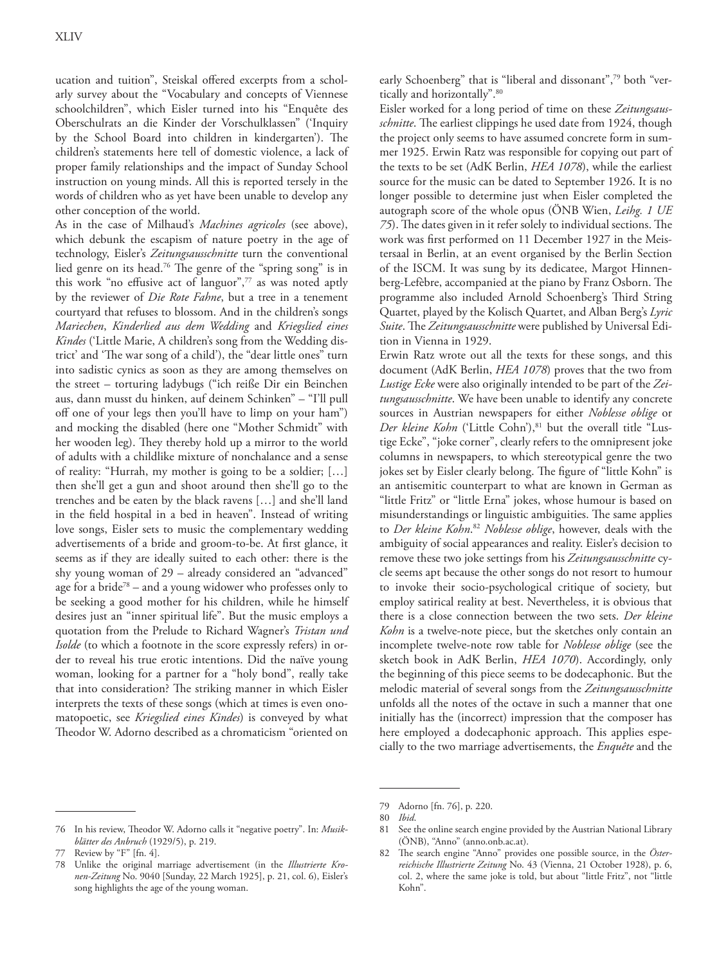ucation and tuition", Steiskal offered excerpts from a scholarly survey about the "Vocabulary and concepts of Viennese schoolchildren", which Eisler turned into his "Enquête des Oberschulrats an die Kinder der Vorschulklassen" ('Inquiry by the School Board into children in kindergarten'). The children's statements here tell of domestic violence, a lack of proper family relationships and the impact of Sunday School instruction on young minds. All this is reported tersely in the words of children who as yet have been unable to develop any other conception of the world.

As in the case of Milhaud's *Machines agricoles* (see above), which debunk the escapism of nature poetry in the age of technology, Eisler's *Zeitungsausschnitte* turn the conventional lied genre on its head.76 The genre of the "spring song" is in this work "no effusive act of languor",<sup>77</sup> as was noted aptly by the reviewer of *Die Rote Fahne*, but a tree in a tenement courtyard that refuses to blossom. And in the children's songs *Mariechen*, *Kinderlied aus dem Wedding* and *Kriegslied eines Kindes* ('Little Marie, A children's song from the Wedding district' and 'The war song of a child'), the "dear little ones" turn into sadistic cynics as soon as they are among themselves on the street – torturing ladybugs ("ich reiße Dir ein Beinchen aus, dann musst du hinken, auf deinem Schinken" – "I'll pull off one of your legs then you'll have to limp on your ham") and mocking the disabled (here one "Mother Schmidt" with her wooden leg). They thereby hold up a mirror to the world of adults with a childlike mixture of nonchalance and a sense of reality: "Hurrah, my mother is going to be a soldier; […] then she'll get a gun and shoot around then she'll go to the trenches and be eaten by the black ravens […] and she'll land in the field hospital in a bed in heaven". Instead of writing love songs, Eisler sets to music the complementary wedding advertisements of a bride and groom-to-be. At first glance, it seems as if they are ideally suited to each other: there is the shy young woman of 29 – already considered an "advanced" age for a bride<sup>78</sup> – and a young widower who professes only to be seeking a good mother for his children, while he himself desires just an "inner spiritual life". But the music employs a quotation from the Prelude to Richard Wagner's *Tristan und Isolde* (to which a footnote in the score expressly refers) in order to reveal his true erotic intentions. Did the naïve young woman, looking for a partner for a "holy bond", really take that into consideration? The striking manner in which Eisler interprets the texts of these songs (which at times is even onomatopoetic, see *Kriegslied eines Kindes*) is conveyed by what Theodor W. Adorno described as a chromaticism "oriented on

early Schoenberg" that is "liberal and dissonant",<sup>79</sup> both "vertically and horizontally".80

Eisler worked for a long period of time on these *Zeitungsausschnitte*. The earliest clippings he used date from 1924, though the project only seems to have assumed concrete form in summer 1925. Erwin Ratz was responsible for copying out part of the texts to be set (AdK Berlin, *HEA 1078*), while the earliest source for the music can be dated to September 1926. It is no longer possible to determine just when Eisler completed the autograph score of the whole opus (ÖNB Wien, *Leihg. 1 UE 75*). The dates given in it refer solely to individual sections. The work was first performed on 11 December 1927 in the Meistersaal in Berlin, at an event organised by the Berlin Section of the ISCM. It was sung by its dedicatee, Margot Hinnenberg-Lefèbre, accompanied at the piano by Franz Osborn. The programme also included Arnold Schoenberg's Third String Quartet, played by the Kolisch Quartet, and Alban Berg's *Lyric Suite*. The *Zeitungsausschnitte* were published by Universal Edition in Vienna in 1929.

Erwin Ratz wrote out all the texts for these songs, and this document (AdK Berlin, *HEA 1078*) proves that the two from *Lustige Ecke* were also originally intended to be part of the *Zeitungsausschnitte*. We have been unable to identify any concrete sources in Austrian newspapers for either *Noblesse oblige* or *Der kleine Kohn* ('Little Cohn'),<sup>81</sup> but the overall title "Lustige Ecke", "joke corner", clearly refers to the omnipresent joke columns in newspapers, to which stereotypical genre the two jokes set by Eisler clearly belong. The figure of "little Kohn" is an antisemitic counterpart to what are known in German as "little Fritz" or "little Erna" jokes, whose humour is based on misunderstandings or linguistic ambiguities. The same applies to *Der kleine Kohn*. <sup>82</sup> *Noblesse oblige*, however, deals with the ambiguity of social appearances and reality. Eisler's decision to remove these two joke settings from his *Zeitungsausschnitte* cycle seems apt because the other songs do not resort to humour to invoke their socio-psychological critique of society, but employ satirical reality at best. Nevertheless, it is obvious that there is a close connection between the two sets. *Der kleine Kohn* is a twelve-note piece, but the sketches only contain an incomplete twelve-note row table for *Noblesse oblige* (see the sketch book in AdK Berlin, *HEA 1070*). Accordingly, only the beginning of this piece seems to be dodecaphonic. But the melodic material of several songs from the *Zeitungsausschnitte* unfolds all the notes of the octave in such a manner that one initially has the (incorrect) impression that the composer has here employed a dodecaphonic approach. This applies especially to the two marriage advertisements, the *Enquête* and the

<sup>76</sup> In his review, Theodor W. Adorno calls it "negative poetry". In: *Musikblätter des Anbruch* (1929/5), p. 219.

<sup>77</sup> Review by "F" [fn. 4].

<sup>78</sup> Unlike the original marriage advertisement (in the *Illustrierte Kronen-Zeitung* No. 9040 [Sunday, 22 March 1925], p. 21, col. 6), Eisler's song highlights the age of the young woman.

<sup>79</sup> Adorno [fn. 76], p. 220.

<sup>80</sup> *Ibid*.

See the online search engine provided by the Austrian National Library (ÖNB), "Anno" (anno.onb.ac.at).

<sup>82</sup> The search engine "Anno" provides one possible source, in the *Österreichische Illustrierte Zeitung* No. 43 (Vienna, 21 October 1928), p. 6, col. 2, where the same joke is told, but about "little Fritz", not "little Kohn".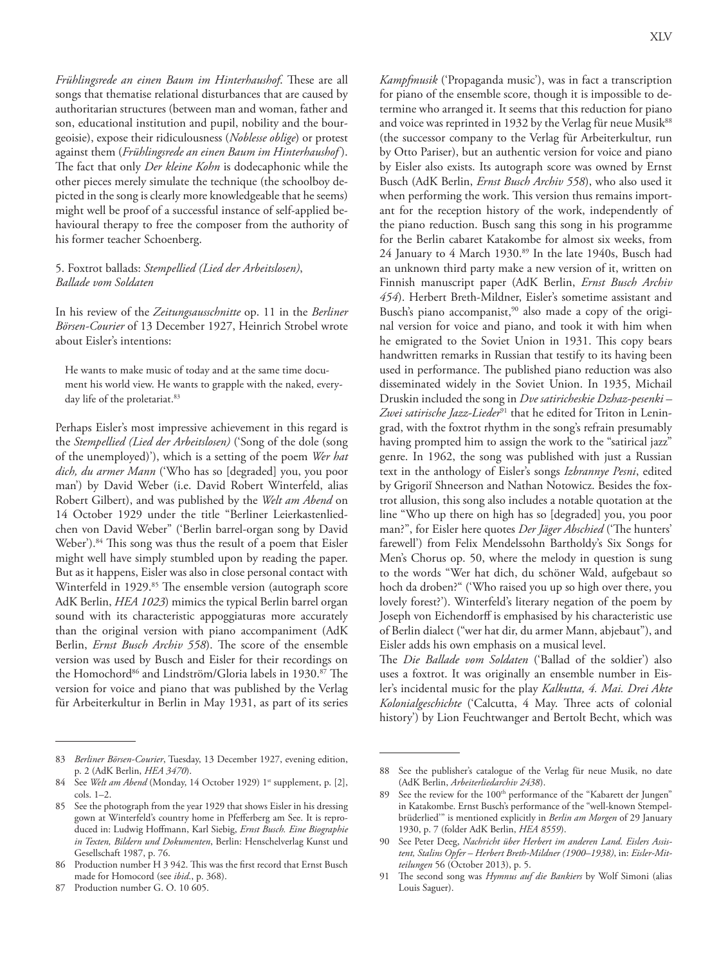*Frühlingsrede an einen Baum im Hinterhaushof*. These are all songs that thematise relational disturbances that are caused by authoritarian structures (between man and woman, father and son, educational institution and pupil, nobility and the bourgeoisie), expose their ridiculousness (*Noblesse oblige*) or protest against them (*Frühlingsrede an einen Baum im Hinterhaushof* ). The fact that only *Der kleine Kohn* is dodecaphonic while the other pieces merely simulate the technique (the schoolboy depicted in the song is clearly more knowledgeable that he seems) might well be proof of a successful instance of self-applied behavioural therapy to free the composer from the authority of his former teacher Schoenberg.

## 5. Foxtrot ballads: *Stempellied (Lied der Arbeitslosen)*, *Ballade vom Soldaten*

In his review of the *Zeitungsausschnitte* op. 11 in the *Berliner Börsen-Courier* of 13 December 1927, Heinrich Strobel wrote about Eisler's intentions:

He wants to make music of today and at the same time document his world view. He wants to grapple with the naked, everyday life of the proletariat.<sup>83</sup>

Perhaps Eisler's most impressive achievement in this regard is the *Stempellied (Lied der Arbeitslosen)* ('Song of the dole (song of the unemployed)'), which is a setting of the poem *Wer hat dich, du armer Mann* ('Who has so [degraded] you, you poor man') by David Weber (i.e. David Robert Winterfeld, alias Robert Gilbert), and was published by the *Welt am Abend* on 14 October 1929 under the title "Berliner Leierkastenliedchen von David Weber" ('Berlin barrel-organ song by David Weber').<sup>84</sup> This song was thus the result of a poem that Eisler might well have simply stumbled upon by reading the paper. But as it happens, Eisler was also in close personal contact with Winterfeld in 1929.<sup>85</sup> The ensemble version (autograph score AdK Berlin, *HEA 1023*) mimics the typical Berlin barrel organ sound with its characteristic appoggiaturas more accurately than the original version with piano accompaniment (AdK Berlin, *Ernst Busch Archiv 558*). The score of the ensemble version was used by Busch and Eisler for their recordings on the Homochord<sup>86</sup> and Lindström/Gloria labels in 1930.<sup>87</sup> The version for voice and piano that was published by the Verlag für Arbeiterkultur in Berlin in May 1931, as part of its series

*Kampfmusik* ('Propaganda music'), was in fact a transcription for piano of the ensemble score, though it is impossible to determine who arranged it. It seems that this reduction for piano and voice was reprinted in 1932 by the Verlag für neue Musik<sup>88</sup> (the successor company to the Verlag für Arbeiterkultur, run by Otto Pariser), but an authentic version for voice and piano by Eisler also exists. Its autograph score was owned by Ernst Busch (AdK Berlin, *Ernst Busch Archiv 558*), who also used it when performing the work. This version thus remains important for the reception history of the work, independently of the piano reduction. Busch sang this song in his programme for the Berlin cabaret Katakombe for almost six weeks, from 24 January to 4 March 1930.89 In the late 1940s, Busch had an unknown third party make a new version of it, written on Finnish manuscript paper (AdK Berlin, *Ernst Busch Archiv 454*). Herbert Breth-Mildner, Eisler's sometime assistant and Busch's piano accompanist,<sup>90</sup> also made a copy of the original version for voice and piano, and took it with him when he emigrated to the Soviet Union in 1931. This copy bears handwritten remarks in Russian that testify to its having been used in performance. The published piano reduction was also disseminated widely in the Soviet Union. In 1935, Michail Druskin included the song in *Dve satiricheskie Dzhaz-pesenki – Zwei satirische Jazz-Lieder*<sup>91</sup> that he edited for Triton in Leningrad, with the foxtrot rhythm in the song's refrain presumably having prompted him to assign the work to the "satirical jazz" genre. In 1962, the song was published with just a Russian text in the anthology of Eisler's songs *Izbrannye Pesni*, edited by Grigoriĭ Shneerson and Nathan Notowicz. Besides the foxtrot allusion, this song also includes a notable quotation at the line "Who up there on high has so [degraded] you, you poor man?", for Eisler here quotes *Der Jäger Abschied* ('The hunters' farewell') from Felix Mendelssohn Bartholdy's Six Songs for Men's Chorus op. 50, where the melody in question is sung to the words "Wer hat dich, du schöner Wald, aufgebaut so hoch da droben?" ('Who raised you up so high over there, you lovely forest?'). Winterfeld's literary negation of the poem by Joseph von Eichendorff is emphasised by his characteristic use of Berlin dialect ("wer hat dir, du armer Mann, abjebaut"), and Eisler adds his own emphasis on a musical level.

The *Die Ballade vom Soldaten* ('Ballad of the soldier') also uses a foxtrot. It was originally an ensemble number in Eisler's incidental music for the play *Kalkutta, 4. Mai. Drei Akte Kolonialgeschichte* ('Calcutta, 4 May. Three acts of colonial history') by Lion Feuchtwanger and Bertolt Becht, which was

<sup>83</sup> *Berliner Börsen-Courier*, Tuesday, 13 December 1927, evening edition, p. 2 (AdK Berlin, *HEA 3470*).

<sup>84</sup> See Welt am Abend (Monday, 14 October 1929) 1<sup>st</sup> supplement, p. [2], cols. 1–2.

<sup>85</sup> See the photograph from the year 1929 that shows Eisler in his dressing gown at Winterfeld's country home in Pfefferberg am See. It is reproduced in: Ludwig Hoffmann, Karl Siebig, *Ernst Busch. Eine Biographie in Texten, Bildern und Dokumenten*, Berlin: Henschelverlag Kunst und Gesellschaft 1987, p. 76.

Production number H 3 942. This was the first record that Ernst Busch made for Homocord (see *ibid*., p. 368).

<sup>87</sup> Production number G. O. 10 605.

<sup>88</sup> See the publisher's catalogue of the Verlag für neue Musik, no date (AdK Berlin, *Arbeiterliedarchiv 2438*).

See the review for the 100<sup>th</sup> performance of the "Kabarett der Jungen" in Katakombe. Ernst Busch's performance of the "well-known Stempelbrüderlied'" is mentioned explicitly in *Berlin am Morgen* of 29 January 1930, p. 7 (folder AdK Berlin, *HEA 8559*).

<sup>90</sup> See Peter Deeg, *Nachricht über Herbert im anderen Land. Eislers Assistent, Stalins Opfer – Herbert Breth-Mildner (1900–1938)*, in: *Eisler-Mitteilungen* 56 (October 2013), p. 5.

<sup>91</sup> The second song was *Hymnus auf die Bankiers* by Wolf Simoni (alias Louis Saguer).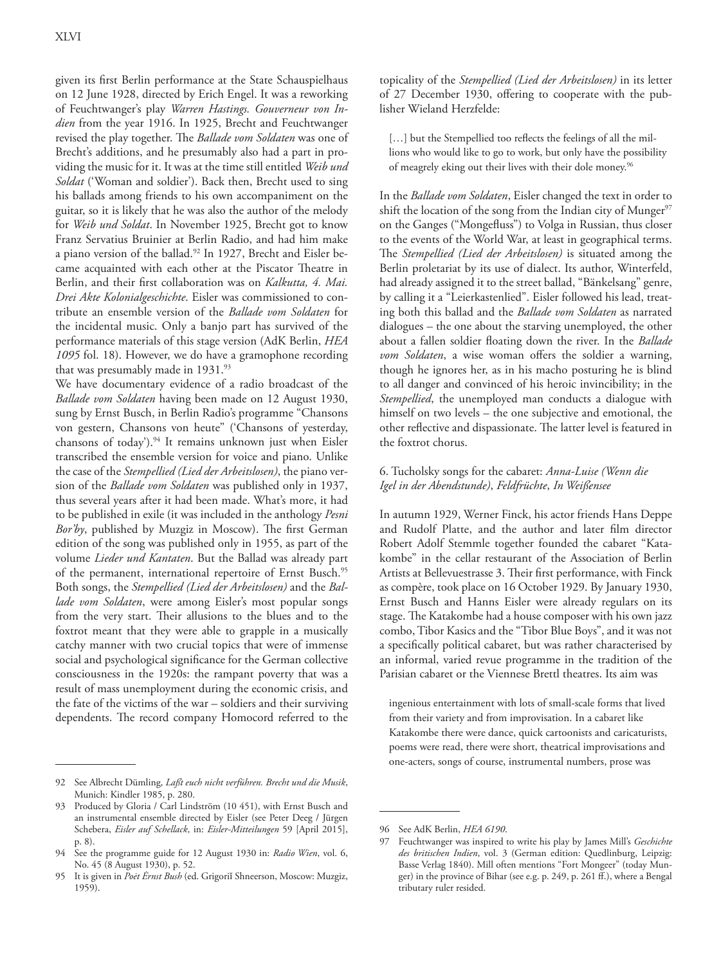given its first Berlin performance at the State Schauspielhaus on 12 June 1928, directed by Erich Engel. It was a reworking of Feuchtwanger's play *Warren Hastings. Gouverneur von Indien* from the year 1916. In 1925, Brecht and Feuchtwanger revised the play together. The *Ballade vom Soldaten* was one of Brecht's additions, and he presumably also had a part in providing the music for it. It was at the time still entitled *Weib und Soldat* ('Woman and soldier'). Back then, Brecht used to sing his ballads among friends to his own accompaniment on the guitar, so it is likely that he was also the author of the melody for *Weib und Soldat*. In November 1925, Brecht got to know Franz Servatius Bruinier at Berlin Radio, and had him make a piano version of the ballad.<sup>92</sup> In 1927, Brecht and Eisler became acquainted with each other at the Piscator Theatre in Berlin, and their first collaboration was on *Kalkutta, 4. Mai. Drei Akte Kolonialgeschichte*. Eisler was commissioned to contribute an ensemble version of the *Ballade vom Soldaten* for the incidental music. Only a banjo part has survived of the performance materials of this stage version (AdK Berlin, *HEA 1095* fol. 18). However, we do have a gramophone recording that was presumably made in 1931.<sup>93</sup>

We have documentary evidence of a radio broadcast of the *Ballade vom Soldaten* having been made on 12 August 1930, sung by Ernst Busch, in Berlin Radio's programme "Chansons von gestern, Chansons von heute" ('Chansons of yesterday, chansons of today').<sup>94</sup> It remains unknown just when Eisler transcribed the ensemble version for voice and piano. Unlike the case of the *Stempellied (Lied der Arbeitslosen)*, the piano version of the *Ballade vom Soldaten* was published only in 1937, thus several years after it had been made. What's more, it had to be published in exile (it was included in the anthology *Pesni Bor'by*, published by Muzgiz in Moscow). The first German edition of the song was published only in 1955, as part of the volume *Lieder und Kantaten*. But the Ballad was already part of the permanent, international repertoire of Ernst Busch.<sup>95</sup> Both songs, the *Stempellied (Lied der Arbeitslosen)* and the *Ballade vom Soldaten*, were among Eisler's most popular songs from the very start. Their allusions to the blues and to the foxtrot meant that they were able to grapple in a musically catchy manner with two crucial topics that were of immense social and psychological significance for the German collective consciousness in the 1920s: the rampant poverty that was a result of mass unemployment during the economic crisis, and the fate of the victims of the war – soldiers and their surviving dependents. The record company Homocord referred to the

topicality of the *Stempellied (Lied der Arbeitslosen)* in its letter of 27 December 1930, offering to cooperate with the publisher Wieland Herzfelde:

[...] but the Stempellied too reflects the feelings of all the millions who would like to go to work, but only have the possibility of meagrely eking out their lives with their dole money.<sup>96</sup>

In the *Ballade vom Soldaten*, Eisler changed the text in order to shift the location of the song from the Indian city of Munger $97$ on the Ganges ("Mongefluss") to Volga in Russian, thus closer to the events of the World War, at least in geographical terms. The *Stempellied (Lied der Arbeitslosen)* is situated among the Berlin proletariat by its use of dialect. Its author, Winterfeld, had already assigned it to the street ballad, "Bänkelsang" genre, by calling it a "Leierkastenlied". Eisler followed his lead, treating both this ballad and the *Ballade vom Soldaten* as narrated dialogues – the one about the starving unemployed, the other about a fallen soldier floating down the river. In the *Ballade vom Soldaten*, a wise woman offers the soldier a warning, though he ignores her, as in his macho posturing he is blind to all danger and convinced of his heroic invincibility; in the *Stempellied*, the unemployed man conducts a dialogue with himself on two levels – the one subjective and emotional, the other reflective and dispassionate. The latter level is featured in the foxtrot chorus.

## 6. Tucholsky songs for the cabaret: *Anna-Luise (Wenn die Igel in der Abendstunde)*, *Feldfrüchte*, *In Weißensee*

In autumn 1929, Werner Finck, his actor friends Hans Deppe and Rudolf Platte, and the author and later film director Robert Adolf Stemmle together founded the cabaret "Katakombe" in the cellar restaurant of the Association of Berlin Artists at Bellevuestrasse 3. Their first performance, with Finck as compère, took place on 16 October 1929. By January 1930, Ernst Busch and Hanns Eisler were already regulars on its stage. The Katakombe had a house composer with his own jazz combo, Tibor Kasics and the "Tibor Blue Boys", and it was not a specifically political cabaret, but was rather characterised by an informal, varied revue programme in the tradition of the Parisian cabaret or the Viennese Brettl theatres. Its aim was

ingenious entertainment with lots of small-scale forms that lived from their variety and from improvisation. In a cabaret like Katakombe there were dance, quick cartoonists and caricaturists, poems were read, there were short, theatrical improvisations and one-acters, songs of course, instrumental numbers, prose was

<sup>92</sup> See Albrecht Dümling, *Laßt euch nicht verführen. Brecht und die Musik*, Munich: Kindler 1985, p. 280.

Produced by Gloria / Carl Lindström (10 451), with Ernst Busch and an instrumental ensemble directed by Eisler (see Peter Deeg / Jürgen Schebera, *Eisler auf Schellack*, in: *Eisler-Mitteilungen* 59 [April 2015], p. 8).

<sup>94</sup> See the programme guide for 12 August 1930 in: *Radio Wien*, vol. 6, No. 45 (8 August 1930), p. 52.

<sup>95</sup> It is given in *Poėt Ėrnst Bush* (ed. Grigoriĭ Shneerson, Moscow: Muzgiz, 1959).

<sup>96</sup> See AdK Berlin, *HEA 6190*.

<sup>97</sup> Feuchtwanger was inspired to write his play by James Mill's *Geschichte des britischen Indien*, vol. 3 (German edition: Quedlinburg, Leipzig: Basse Verlag 1840). Mill often mentions "Fort Mongeer" (today Munger) in the province of Bihar (see e.g. p. 249, p. 261 ff.), where a Bengal tributary ruler resided.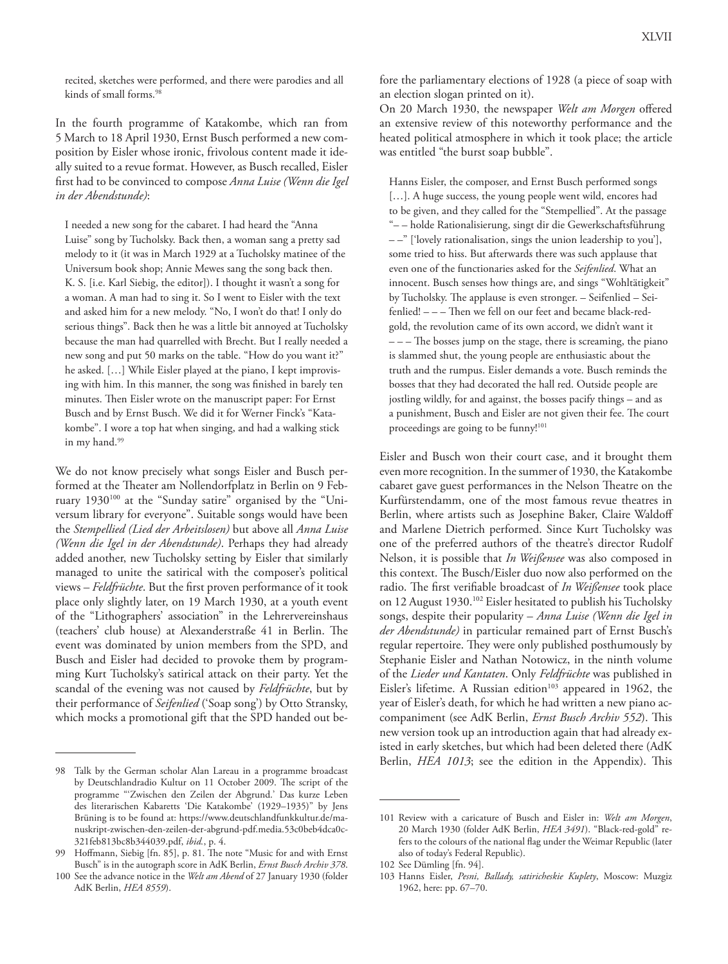recited, sketches were performed, and there were parodies and all kinds of small forms.<sup>98</sup>

In the fourth programme of Katakombe, which ran from 5 March to 18 April 1930, Ernst Busch performed a new composition by Eisler whose ironic, frivolous content made it ideally suited to a revue format. However, as Busch recalled, Eisler first had to be convinced to compose *Anna Luise (Wenn die Igel in der Abendstunde)*:

I needed a new song for the cabaret. I had heard the "Anna Luise" song by Tucholsky. Back then, a woman sang a pretty sad melody to it (it was in March 1929 at a Tucholsky matinee of the Universum book shop; Annie Mewes sang the song back then. K. S. [i.e. Karl Siebig, the editor]). I thought it wasn't a song for a woman. A man had to sing it. So I went to Eisler with the text and asked him for a new melody. "No, I won't do that! I only do serious things". Back then he was a little bit annoyed at Tucholsky because the man had quarrelled with Brecht. But I really needed a new song and put 50 marks on the table. "How do you want it?" he asked. […] While Eisler played at the piano, I kept improvising with him. In this manner, the song was finished in barely ten minutes. Then Eisler wrote on the manuscript paper: For Ernst Busch and by Ernst Busch. We did it for Werner Finck's "Katakombe". I wore a top hat when singing, and had a walking stick in my hand.<sup>99</sup>

We do not know precisely what songs Eisler and Busch performed at the Theater am Nollendorfplatz in Berlin on 9 February 1930100 at the "Sunday satire" organised by the "Universum library for everyone". Suitable songs would have been the *Stempellied (Lied der Arbeitslosen)* but above all *Anna Luise (Wenn die Igel in der Abendstunde)*. Perhaps they had already added another, new Tucholsky setting by Eisler that similarly managed to unite the satirical with the composer's political views – *Feldfrüchte*. But the first proven performance of it took place only slightly later, on 19 March 1930, at a youth event of the "Lithographers' association" in the Lehrervereinshaus (teachers' club house) at Alexanderstraße 41 in Berlin. The event was dominated by union members from the SPD, and Busch and Eisler had decided to provoke them by programming Kurt Tucholsky's satirical attack on their party. Yet the scandal of the evening was not caused by *Feldfrüchte*, but by their performance of *Seifenlied* ('Soap song') by Otto Stransky, which mocks a promotional gift that the SPD handed out be-

fore the parliamentary elections of 1928 (a piece of soap with an election slogan printed on it).

On 20 March 1930, the newspaper *Welt am Morgen* offered an extensive review of this noteworthy performance and the heated political atmosphere in which it took place; the article was entitled "the burst soap bubble".

Hanns Eisler, the composer, and Ernst Busch performed songs [...]. A huge success, the young people went wild, encores had to be given, and they called for the "Stempellied". At the passage "– – holde Rationalisierung, singt dir die Gewerkschaftsführung – –" ['lovely rationalisation, sings the union leadership to you'], some tried to hiss. But afterwards there was such applause that even one of the functionaries asked for the *Seifenlied*. What an innocent. Busch senses how things are, and sings "Wohltätigkeit" by Tucholsky. The applause is even stronger. – Seifenlied – Seifenlied! – – – Then we fell on our feet and became black-redgold, the revolution came of its own accord, we didn't want it – – – The bosses jump on the stage, there is screaming, the piano is slammed shut, the young people are enthusiastic about the truth and the rumpus. Eisler demands a vote. Busch reminds the bosses that they had decorated the hall red. Outside people are jostling wildly, for and against, the bosses pacify things – and as a punishment, Busch and Eisler are not given their fee. The court proceedings are going to be funny!<sup>101</sup>

Eisler and Busch won their court case, and it brought them even more recognition. In the summer of 1930, the Katakombe cabaret gave guest performances in the Nelson Theatre on the Kurfürstendamm, one of the most famous revue theatres in Berlin, where artists such as Josephine Baker, Claire Waldoff and Marlene Dietrich performed. Since Kurt Tucholsky was one of the preferred authors of the theatre's director Rudolf Nelson, it is possible that *In Weißensee* was also composed in this context. The Busch/Eisler duo now also performed on the radio. The first verifiable broadcast of *In Weißensee* took place on 12 August 1930.102 Eisler hesitated to publish his Tucholsky songs, despite their popularity – *Anna Luise (Wenn die Igel in der Abendstunde)* in particular remained part of Ernst Busch's regular repertoire. They were only published posthumously by Stephanie Eisler and Nathan Notowicz, in the ninth volume of the *Lieder und Kantaten*. Only *Feldfrüchte* was published in Eisler's lifetime. A Russian edition<sup>103</sup> appeared in 1962, the year of Eisler's death, for which he had written a new piano accompaniment (see AdK Berlin, *Ernst Busch Archiv 552*). This new version took up an introduction again that had already existed in early sketches, but which had been deleted there (AdK Berlin, *HEA 1013*; see the edition in the Appendix). This

<sup>98</sup> Talk by the German scholar Alan Lareau in a programme broadcast by Deutschlandradio Kultur on 11 October 2009. The script of the programme "'Zwischen den Zeilen der Abgrund.' Das kurze Leben des literarischen Kabaretts 'Die Katakombe' (1929–1935)" by Jens Brüning is to be found at: https://www.deutschlandfunkkultur.de/manuskript-zwischen-den-zeilen-der-abgrund-pdf.media.53c0beb4dca0c-321feb813bc8b344039.pdf, *ibid.*, p. 4.

Hoffmann, Siebig [fn. 85], p. 81. The note "Music for and with Ernst Busch" is in the autograph score in AdK Berlin, *Ernst Busch Archiv 378*.

<sup>100</sup> See the advance notice in the *Welt am Abend* of 27 January 1930 (folder AdK Berlin, *HEA 8559*).

<sup>101</sup> Review with a caricature of Busch and Eisler in: *Welt am Morgen*, 20 March 1930 (folder AdK Berlin, *HEA 3491*). "Black-red-gold" refers to the colours of the national flag under the Weimar Republic (later also of today's Federal Republic).

<sup>102</sup> See Dümling [fn. 94].

<sup>103</sup> Hanns Eisler, *Pesni, Ballady, satiricheskie Kuplety*, Moscow: Muzgiz 1962, here: pp. 67–70.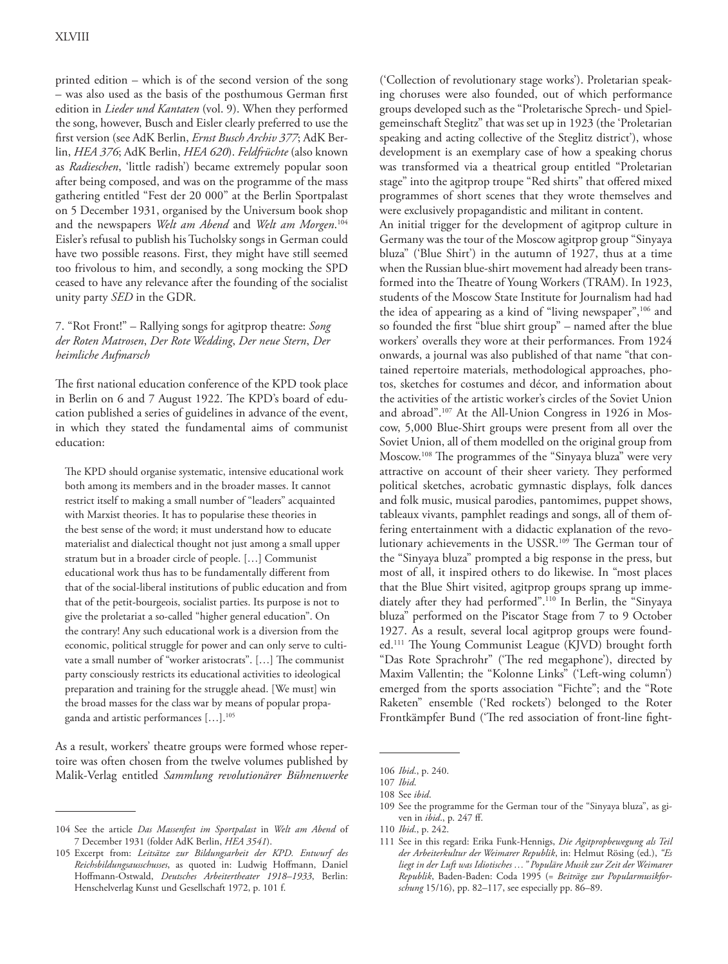printed edition – which is of the second version of the song – was also used as the basis of the posthumous German first edition in *Lieder und Kantaten* (vol. 9). When they performed the song, however, Busch and Eisler clearly preferred to use the first version (see AdK Berlin, *Ernst Busch Archiv 377*; AdK Berlin, *HEA 376*; AdK Berlin, *HEA 620*). *Feldfrüchte* (also known as *Radieschen*, 'little radish') became extremely popular soon after being composed, and was on the programme of the mass gathering entitled "Fest der 20 000" at the Berlin Sportpalast on 5 December 1931, organised by the Universum book shop and the newspapers *Welt am Abend* and *Welt am Morgen*. 104 Eisler's refusal to publish his Tucholsky songs in German could have two possible reasons. First, they might have still seemed too frivolous to him, and secondly, a song mocking the SPD ceased to have any relevance after the founding of the socialist unity party *SED* in the GDR.

## 7. "Rot Front!" – Rallying songs for agitprop theatre: *Song der Roten Matrosen*, *Der Rote Wedding*, *Der neue Stern*, *Der heimliche Aufmarsch*

The first national education conference of the KPD took place in Berlin on 6 and 7 August 1922. The KPD's board of education published a series of guidelines in advance of the event, in which they stated the fundamental aims of communist education:

The KPD should organise systematic, intensive educational work both among its members and in the broader masses. It cannot restrict itself to making a small number of "leaders" acquainted with Marxist theories. It has to popularise these theories in the best sense of the word; it must understand how to educate materialist and dialectical thought not just among a small upper stratum but in a broader circle of people. […] Communist educational work thus has to be fundamentally different from that of the social-liberal institutions of public education and from that of the petit-bourgeois, socialist parties. Its purpose is not to give the proletariat a so-called "higher general education". On the contrary! Any such educational work is a diversion from the economic, political struggle for power and can only serve to cultivate a small number of "worker aristocrats". […] The communist party consciously restricts its educational activities to ideological preparation and training for the struggle ahead. [We must] win the broad masses for the class war by means of popular propaganda and artistic performances […].105

As a result, workers' theatre groups were formed whose repertoire was often chosen from the twelve volumes published by Malik-Verlag entitled *Sammlung revolutionärer Bühnenwerke*

('Collection of revolutionary stage works'). Proletarian speaking choruses were also founded, out of which performance groups developed such as the "Proletarische Sprech- und Spielgemeinschaft Steglitz" that was set up in 1923 (the 'Proletarian speaking and acting collective of the Steglitz district'), whose development is an exemplary case of how a speaking chorus was transformed via a theatrical group entitled "Proletarian stage" into the agitprop troupe "Red shirts" that offered mixed programmes of short scenes that they wrote themselves and were exclusively propagandistic and militant in content.

An initial trigger for the development of agitprop culture in Germany was the tour of the Moscow agitprop group "Sinyaya bluza" ('Blue Shirt') in the autumn of 1927, thus at a time when the Russian blue-shirt movement had already been transformed into the Theatre of Young Workers (TRAM). In 1923, students of the Moscow State Institute for Journalism had had the idea of appearing as a kind of "living newspaper",<sup>106</sup> and so founded the first "blue shirt group" – named after the blue workers' overalls they wore at their performances. From 1924 onwards, a journal was also published of that name "that contained repertoire materials, methodological approaches, photos, sketches for costumes and décor, and information about the activities of the artistic worker's circles of the Soviet Union and abroad".107 At the All-Union Congress in 1926 in Moscow, 5,000 Blue-Shirt groups were present from all over the Soviet Union, all of them modelled on the original group from Moscow.108 The programmes of the "Sinyaya bluza" were very attractive on account of their sheer variety. They performed political sketches, acrobatic gymnastic displays, folk dances and folk music, musical parodies, pantomimes, puppet shows, tableaux vivants, pamphlet readings and songs, all of them offering entertainment with a didactic explanation of the revolutionary achievements in the USSR. 109 The German tour of the "Sinyaya bluza" prompted a big response in the press, but most of all, it inspired others to do likewise. In "most places that the Blue Shirt visited, agitprop groups sprang up immediately after they had performed".110 In Berlin, the "Sinyaya bluza" performed on the Piscator Stage from 7 to 9 October 1927. As a result, several local agitprop groups were founded.111 The Young Communist League (KJVD) brought forth "Das Rote Sprachrohr" ('The red megaphone'), directed by Maxim Vallentin; the "Kolonne Links" ('Left-wing column') emerged from the sports association "Fichte"; and the "Rote Raketen" ensemble ('Red rockets') belonged to the Roter Frontkämpfer Bund ('The red association of front-line fight-

<sup>104</sup> See the article *Das Massenfest im Sportpalast* in *Welt am Abend* of 7 December 1931 (folder AdK Berlin, *HEA 3541*).

<sup>105</sup> Excerpt from: *Leitsätze zur Bildungsarbeit der KPD. Entwurf des Reichsbildungsausschusses*, as quoted in: Ludwig Hoffmann, Daniel Hoffmann-Ostwald, *Deutsches Arbeitertheater 1918–1933*, Berlin: Henschelverlag Kunst und Gesellschaft 1972, p. 101 f.

<sup>106</sup> *Ibid*., p. 240.

<sup>107</sup> *Ibid*.

<sup>108</sup> See *ibid*.

<sup>109</sup> See the programme for the German tour of the "Sinyaya bluza", as given in *ibid*., p. 247 ff.

<sup>110</sup> *Ibid*., p. 242.

<sup>111</sup> See in this regard: Erika Funk-Hennigs, *Die Agitpropbewegung als Teil der Arbeiterkultur der Weimarer Republik*, in: Helmut Rösing (ed.), *"Es liegt in der Luft was Idiotisches …" Populäre Musik zur Zeit der Weimarer Republik*, Baden-Baden: Coda 1995 (= *Beiträge zur Popularmusikforschung* 15/16), pp. 82–117, see especially pp. 86–89.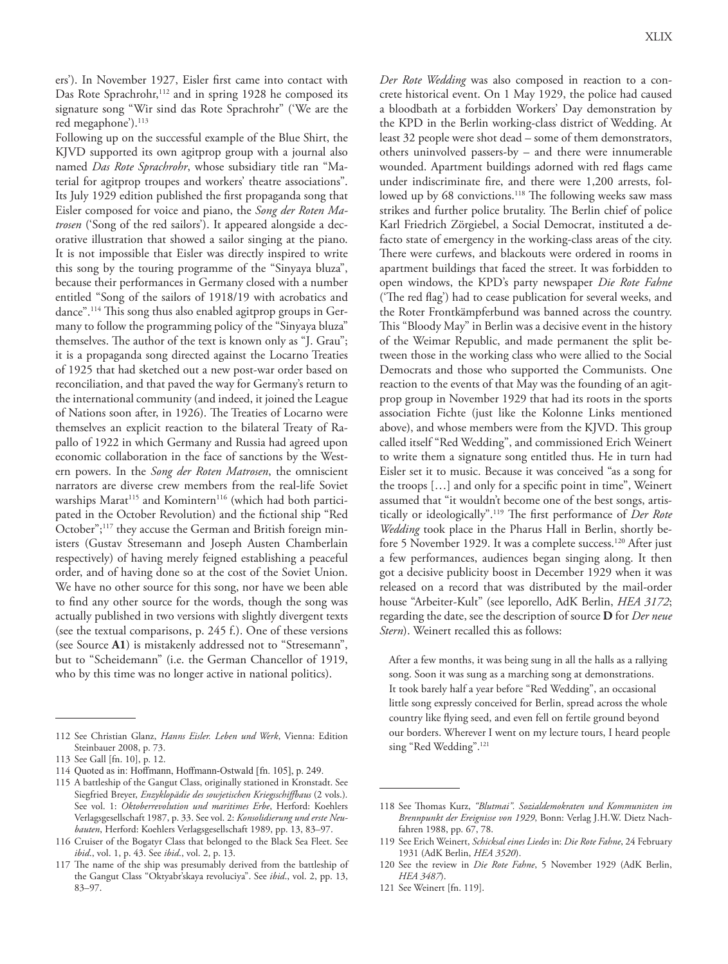ers'). In November 1927, Eisler first came into contact with Das Rote Sprachrohr,<sup>112</sup> and in spring 1928 he composed its signature song "Wir sind das Rote Sprachrohr" ('We are the red megaphone').<sup>113</sup>

Following up on the successful example of the Blue Shirt, the KJVD supported its own agitprop group with a journal also named *Das Rote Sprachrohr*, whose subsidiary title ran "Material for agitprop troupes and workers' theatre associations". Its July 1929 edition published the first propaganda song that Eisler composed for voice and piano, the *Song der Roten Matrosen* ('Song of the red sailors'). It appeared alongside a decorative illustration that showed a sailor singing at the piano. It is not impossible that Eisler was directly inspired to write this song by the touring programme of the "Sinyaya bluza", because their performances in Germany closed with a number entitled "Song of the sailors of 1918/19 with acrobatics and dance".114 This song thus also enabled agitprop groups in Germany to follow the programming policy of the "Sinyaya bluza" themselves. The author of the text is known only as "J. Grau"; it is a propaganda song directed against the Locarno Treaties of 1925 that had sketched out a new post-war order based on reconciliation, and that paved the way for Germany's return to the international community (and indeed, it joined the League of Nations soon after, in 1926). The Treaties of Locarno were themselves an explicit reaction to the bilateral Treaty of Rapallo of 1922 in which Germany and Russia had agreed upon economic collaboration in the face of sanctions by the Western powers. In the *Song der Roten Matrosen*, the omniscient narrators are diverse crew members from the real-life Soviet warships Marat<sup>115</sup> and Komintern<sup>116</sup> (which had both participated in the October Revolution) and the fictional ship "Red October";<sup>117</sup> they accuse the German and British foreign ministers (Gustav Stresemann and Joseph Austen Chamberlain respectively) of having merely feigned establishing a peaceful order, and of having done so at the cost of the Soviet Union. We have no other source for this song, nor have we been able to find any other source for the words, though the song was actually published in two versions with slightly divergent texts (see the textual comparisons, p. 245 f.). One of these versions (see Source **A1**) is mistakenly addressed not to "Stresemann", but to "Scheidemann" (i.e. the German Chancellor of 1919, who by this time was no longer active in national politics).

*Der Rote Wedding* was also composed in reaction to a concrete historical event. On 1 May 1929, the police had caused a bloodbath at a forbidden Workers' Day demonstration by the KPD in the Berlin working-class district of Wedding. At least 32 people were shot dead – some of them demonstrators, others uninvolved passers-by – and there were innumerable wounded. Apartment buildings adorned with red flags came under indiscriminate fire, and there were 1,200 arrests, followed up by 68 convictions.<sup>118</sup> The following weeks saw mass strikes and further police brutality. The Berlin chief of police Karl Friedrich Zörgiebel, a Social Democrat, instituted a defacto state of emergency in the working-class areas of the city. There were curfews, and blackouts were ordered in rooms in apartment buildings that faced the street. It was forbidden to open windows, the KPD's party newspaper *Die Rote Fahne* ('The red flag') had to cease publication for several weeks, and the Roter Frontkämpferbund was banned across the country. This "Bloody May" in Berlin was a decisive event in the history of the Weimar Republic, and made permanent the split between those in the working class who were allied to the Social Democrats and those who supported the Communists. One reaction to the events of that May was the founding of an agitprop group in November 1929 that had its roots in the sports association Fichte (just like the Kolonne Links mentioned above), and whose members were from the KJVD. This group called itself "Red Wedding", and commissioned Erich Weinert to write them a signature song entitled thus. He in turn had Eisler set it to music. Because it was conceived "as a song for the troops […] and only for a specific point in time", Weinert assumed that "it wouldn't become one of the best songs, artistically or ideologically".119 The first performance of *Der Rote Wedding* took place in the Pharus Hall in Berlin, shortly before 5 November 1929. It was a complete success.<sup>120</sup> After just a few performances, audiences began singing along. It then got a decisive publicity boost in December 1929 when it was released on a record that was distributed by the mail-order house "Arbeiter-Kult" (see leporello, AdK Berlin, *HEA 3172*; regarding the date, see the description of source **D** for *Der neue Stern*). Weinert recalled this as follows:

After a few months, it was being sung in all the halls as a rallying song. Soon it was sung as a marching song at demonstrations. It took barely half a year before "Red Wedding", an occasional little song expressly conceived for Berlin, spread across the whole country like flying seed, and even fell on fertile ground beyond our borders. Wherever I went on my lecture tours, I heard people sing "Red Wedding".<sup>121</sup>

121 See Weinert [fn. 119].

<sup>112</sup> See Christian Glanz, *Hanns Eisler. Leben und Werk*, Vienna: Edition Steinbauer 2008, p. 73.

<sup>113</sup> See Gall [fn. 10], p. 12.

<sup>114</sup> Quoted as in: Hoffmann, Hoffmann-Ostwald [fn. 105], p. 249.

<sup>115</sup> A battleship of the Gangut Class, originally stationed in Kronstadt. See Siegfried Breyer, *Enzyklopädie des sowjetischen Kriegsschiffbaus* (2 vols.)*.* See vol. 1: *Oktoberrevolution und maritimes Erbe*, Herford: Koehlers Verlagsgesellschaft 1987, p. 33. See vol. 2: *Konsolidierung und erste Neubauten*, Herford: Koehlers Verlagsgesellschaft 1989, pp. 13, 83–97.

<sup>116</sup> Cruiser of the Bogatyr Class that belonged to the Black Sea Fleet. See *ibid*., vol. 1, p. 43. See *ibid*., vol. 2, p. 13.

<sup>117</sup> The name of the ship was presumably derived from the battleship of the Gangut Class "Oktyabr'skaya revoluciya". See *ibid*., vol. 2, pp. 13, 83–97.

<sup>118</sup> See Thomas Kurz, *"Blutmai". Sozialdemokraten und Kommunisten im Brennpunkt der Ereignisse von 1929*, Bonn: Verlag J.H.W. Dietz Nachfahren 1988, pp. 67, 78.

<sup>119</sup> See Erich Weinert, *Schicksal eines Liedes* in: *Die Rote Fahne*, 24 February 1931 (AdK Berlin, *HEA 3520*).

<sup>120</sup> See the review in *Die Rote Fahne*, 5 November 1929 (AdK Berlin, *HEA 3487*).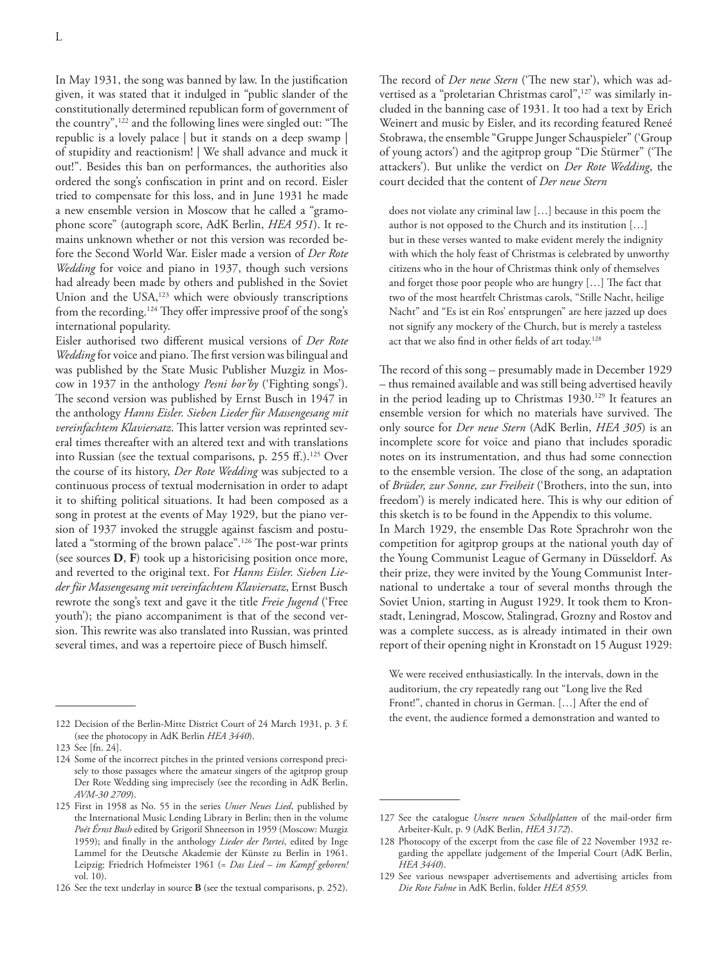In May 1931, the song was banned by law. In the justification given, it was stated that it indulged in "public slander of the constitutionally determined republican form of government of the country",122 and the following lines were singled out: "The republic is a lovely palace | but it stands on a deep swamp | of stupidity and reactionism! | We shall advance and muck it out!". Besides this ban on performances, the authorities also ordered the song's confiscation in print and on record. Eisler tried to compensate for this loss, and in June 1931 he made a new ensemble version in Moscow that he called a "gramophone score" (autograph score, AdK Berlin, *HEA 951*). It remains unknown whether or not this version was recorded before the Second World War. Eisler made a version of *Der Rote Wedding* for voice and piano in 1937, though such versions had already been made by others and published in the Soviet Union and the USA, 123 which were obviously transcriptions from the recording.124 They offer impressive proof of the song's international popularity.

Eisler authorised two different musical versions of *Der Rote Wedding* for voice and piano. The first version was bilingual and was published by the State Music Publisher Muzgiz in Moscow in 1937 in the anthology *Pesni bor'by* ('Fighting songs'). The second version was published by Ernst Busch in 1947 in the anthology *Hanns Eisler. Sieben Lieder für Massengesang mit vereinfachtem Klaviersatz*. This latter version was reprinted several times thereafter with an altered text and with translations into Russian (see the textual comparisons, p. 255 ff.).<sup>125</sup> Over the course of its history, *Der Rote Wedding* was subjected to a continuous process of textual modernisation in order to adapt it to shifting political situations. It had been composed as a song in protest at the events of May 1929, but the piano version of 1937 invoked the struggle against fascism and postulated a "storming of the brown palace".<sup>126</sup> The post-war prints (see sources **D**, **F**) took up a historicising position once more, and reverted to the original text. For *Hanns Eisler. Sieben Lieder für Massengesang mit vereinfachtem Klaviersatz*, Ernst Busch rewrote the song's text and gave it the title *Freie Jugend* ('Free youth'); the piano accompaniment is that of the second version. This rewrite was also translated into Russian, was printed several times, and was a repertoire piece of Busch himself.

123 See [fn. 24].

The record of *Der neue Stern* ('The new star'), which was advertised as a "proletarian Christmas carol",<sup>127</sup> was similarly included in the banning case of 1931. It too had a text by Erich Weinert and music by Eisler, and its recording featured Reneé Stobrawa, the ensemble "Gruppe Junger Schauspieler" ('Group of young actors') and the agitprop group "Die Stürmer" ('The attackers'). But unlike the verdict on *Der Rote Wedding*, the court decided that the content of *Der neue Stern*

does not violate any criminal law […] because in this poem the author is not opposed to the Church and its institution […] but in these verses wanted to make evident merely the indignity with which the holy feast of Christmas is celebrated by unworthy citizens who in the hour of Christmas think only of themselves and forget those poor people who are hungry […] The fact that two of the most heartfelt Christmas carols, "Stille Nacht, heilige Nacht" and "Es ist ein Ros' entsprungen" are here jazzed up does not signify any mockery of the Church, but is merely a tasteless act that we also find in other fields of art today.128

The record of this song – presumably made in December 1929 – thus remained available and was still being advertised heavily in the period leading up to Christmas 1930.<sup>129</sup> It features an ensemble version for which no materials have survived. The only source for *Der neue Stern* (AdK Berlin, *HEA 305*) is an incomplete score for voice and piano that includes sporadic notes on its instrumentation, and thus had some connection to the ensemble version. The close of the song, an adaptation of *Brüder, zur Sonne, zur Freiheit* ('Brothers, into the sun, into freedom') is merely indicated here. This is why our edition of this sketch is to be found in the Appendix to this volume. In March 1929, the ensemble Das Rote Sprachrohr won the competition for agitprop groups at the national youth day of the Young Communist League of Germany in Düsseldorf. As their prize, they were invited by the Young Communist International to undertake a tour of several months through the Soviet Union, starting in August 1929. It took them to Kronstadt, Leningrad, Moscow, Stalingrad, Grozny and Rostov and was a complete success, as is already intimated in their own report of their opening night in Kronstadt on 15 August 1929:

We were received enthusiastically. In the intervals, down in the auditorium, the cry repeatedly rang out "Long live the Red Front!", chanted in chorus in German. […] After the end of the event, the audience formed a demonstration and wanted to

<sup>122</sup> Decision of the Berlin-Mitte District Court of 24 March 1931, p. 3 f. (see the photocopy in AdK Berlin *HEA 3440*).

<sup>124</sup> Some of the incorrect pitches in the printed versions correspond precisely to those passages where the amateur singers of the agitprop group Der Rote Wedding sing imprecisely (see the recording in AdK Berlin, *AVM-30 2709*).

<sup>125</sup> First in 1958 as No. 55 in the series *Unser Neues Lied*, published by the International Music Lending Library in Berlin; then in the volume *Poét Érnst Bush* edited by Grigoriĭ Shneerson in 1959 (Moscow: Muzgiz 1959); and finally in the anthology *Lieder der Partei*, edited by Inge Lammel for the Deutsche Akademie der Künste zu Berlin in 1961. Leipzig: Friedrich Hofmeister 1961 (= *Das Lied – im Kampf geboren!* vol. 10).

<sup>126</sup> See the text underlay in source **B** (see the textual comparisons, p. 252).

<sup>127</sup> See the catalogue *Unsere neuen Schallplatten* of the mail-order firm Arbeiter-Kult, p. 9 (AdK Berlin, *HEA 3172*).

<sup>128</sup> Photocopy of the excerpt from the case file of 22 November 1932 regarding the appellate judgement of the Imperial Court (AdK Berlin, *HEA 3440*).

<sup>129</sup> See various newspaper advertisements and advertising articles from *Die Rote Fahne* in AdK Berlin, folder *HEA 8559*.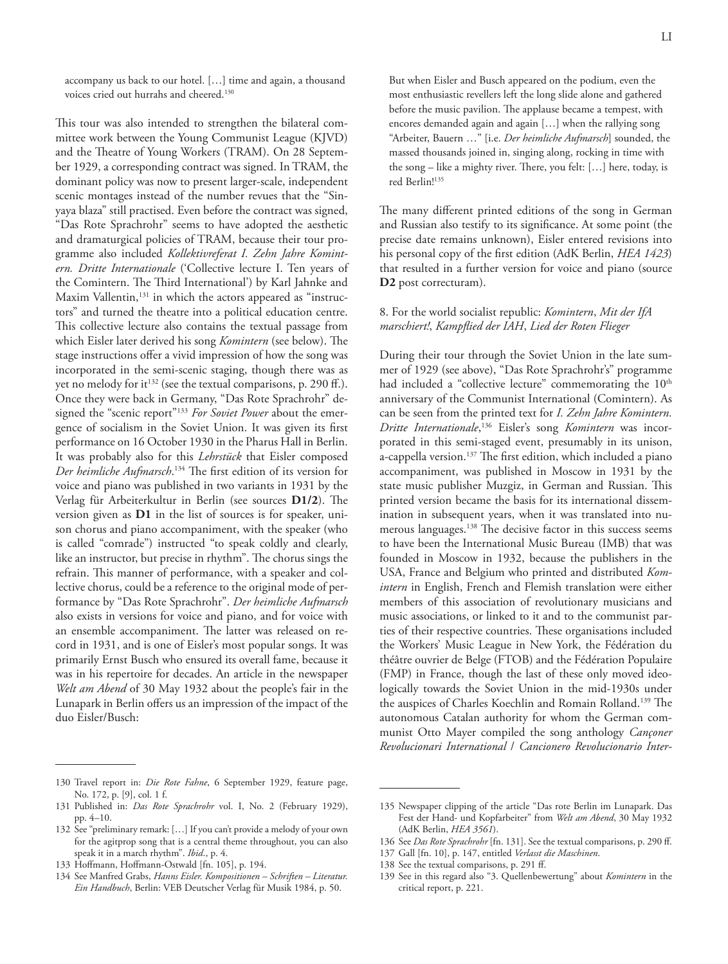accompany us back to our hotel. […] time and again, a thousand voices cried out hurrahs and cheered.<sup>130</sup>

This tour was also intended to strengthen the bilateral committee work between the Young Communist League (KJVD) and the Theatre of Young Workers (TRAM). On 28 September 1929, a corresponding contract was signed. In TRAM, the dominant policy was now to present larger-scale, independent scenic montages instead of the number revues that the "Sinyaya blaza" still practised. Even before the contract was signed, "Das Rote Sprachrohr" seems to have adopted the aesthetic and dramaturgical policies of TRAM, because their tour programme also included *Kollektivreferat I. Zehn Jahre Komintern. Dritte Internationale* ('Collective lecture I. Ten years of the Comintern. The Third International') by Karl Jahnke and Maxim Vallentin,<sup>131</sup> in which the actors appeared as "instructors" and turned the theatre into a political education centre. This collective lecture also contains the textual passage from which Eisler later derived his song *Komintern* (see below). The stage instructions offer a vivid impression of how the song was incorporated in the semi-scenic staging, though there was as yet no melody for it<sup>132</sup> (see the textual comparisons, p. 290 ff.). Once they were back in Germany, "Das Rote Sprachrohr" designed the "scenic report"133 *For Soviet Power* about the emergence of socialism in the Soviet Union. It was given its first performance on 16 October 1930 in the Pharus Hall in Berlin. It was probably also for this *Lehrstück* that Eisler composed *Der heimliche Aufmarsch*. 134 The first edition of its version for voice and piano was published in two variants in 1931 by the Verlag für Arbeiterkultur in Berlin (see sources **D1/2**). The version given as **D1** in the list of sources is for speaker, unison chorus and piano accompaniment, with the speaker (who is called "comrade") instructed "to speak coldly and clearly, like an instructor, but precise in rhythm". The chorus sings the refrain. This manner of performance, with a speaker and collective chorus, could be a reference to the original mode of performance by "Das Rote Sprachrohr". *Der heimliche Aufmarsch* also exists in versions for voice and piano, and for voice with an ensemble accompaniment. The latter was released on record in 1931, and is one of Eisler's most popular songs. It was primarily Ernst Busch who ensured its overall fame, because it was in his repertoire for decades. An article in the newspaper *Welt am Abend* of 30 May 1932 about the people's fair in the Lunapark in Berlin offers us an impression of the impact of the duo Eisler/Busch:

But when Eisler and Busch appeared on the podium, even the most enthusiastic revellers left the long slide alone and gathered before the music pavilion. The applause became a tempest, with encores demanded again and again […] when the rallying song "Arbeiter, Bauern …" [i.e. *Der heimliche Aufmarsch*] sounded, the massed thousands joined in, singing along, rocking in time with the song – like a mighty river. There, you felt: […] here, today, is red Berlin!135

The many different printed editions of the song in German and Russian also testify to its significance. At some point (the precise date remains unknown), Eisler entered revisions into his personal copy of the first edition (AdK Berlin, *HEA 1423*) that resulted in a further version for voice and piano (source **D2** post correcturam).

## 8. For the world socialist republic: *Komintern*, *Mit der IfA marschiert!*, *Kampflied der IAH*, *Lied der Roten Flieger*

During their tour through the Soviet Union in the late summer of 1929 (see above), "Das Rote Sprachrohr's" programme had included a "collective lecture" commemorating the 10<sup>th</sup> anniversary of the Communist International (Comintern). As can be seen from the printed text for *I. Zehn Jahre Komintern. Dritte Internationale*, <sup>136</sup> Eisler's song *Komintern* was incorporated in this semi-staged event, presumably in its unison, a-cappella version.<sup>137</sup> The first edition, which included a piano accompaniment, was published in Moscow in 1931 by the state music publisher Muzgiz, in German and Russian. This printed version became the basis for its international dissemination in subsequent years, when it was translated into numerous languages.138 The decisive factor in this success seems to have been the International Music Bureau (IMB) that was founded in Moscow in 1932, because the publishers in the USA, France and Belgium who printed and distributed *Komintern* in English, French and Flemish translation were either members of this association of revolutionary musicians and music associations, or linked to it and to the communist parties of their respective countries. These organisations included the Workers' Music League in New York, the Fédération du théâtre ouvrier de Belge (FTOB) and the Fédération Populaire (FMP) in France, though the last of these only moved ideologically towards the Soviet Union in the mid-1930s under the auspices of Charles Koechlin and Romain Rolland.139 The autonomous Catalan authority for whom the German communist Otto Mayer compiled the song anthology *Cançoner Revolucionari International* / *Cancionero Revolucionario Inter-*

138 See the textual comparisons, p. 291 ff.

<sup>130</sup> Travel report in: *Die Rote Fahne*, 6 September 1929, feature page, No. 172, p. [9], col. 1 f.

<sup>131</sup> Published in: *Das Rote Sprachrohr* vol. I, No. 2 (February 1929), pp. 4–10.

<sup>132</sup> See "preliminary remark: […] If you can't provide a melody of your own for the agitprop song that is a central theme throughout, you can also speak it in a march rhythm". *Ibid*., p. 4.

<sup>133</sup> Hoffmann, Hoffmann-Ostwald [fn. 105], p. 194.

<sup>134</sup> See Manfred Grabs, *Hanns Eisler. Kompositionen – Schriften – Literatur. Ein Handbuch*, Berlin: VEB Deutscher Verlag für Musik 1984, p. 50.

<sup>135</sup> Newspaper clipping of the article "Das rote Berlin im Lunapark. Das Fest der Hand- und Kopfarbeiter" from *Welt am Abend*, 30 May 1932 (AdK Berlin, *HEA 3561*).

<sup>136</sup> See *Das Rote Sprachrohr* [fn. 131]. See the textual comparisons, p. 290 ff.

<sup>137</sup> Gall [fn. 10], p. 147, entitled *Verlasst die Maschinen*.

<sup>139</sup> See in this regard also "3. Quellenbewertung" about *Komintern* in the critical report, p. 221.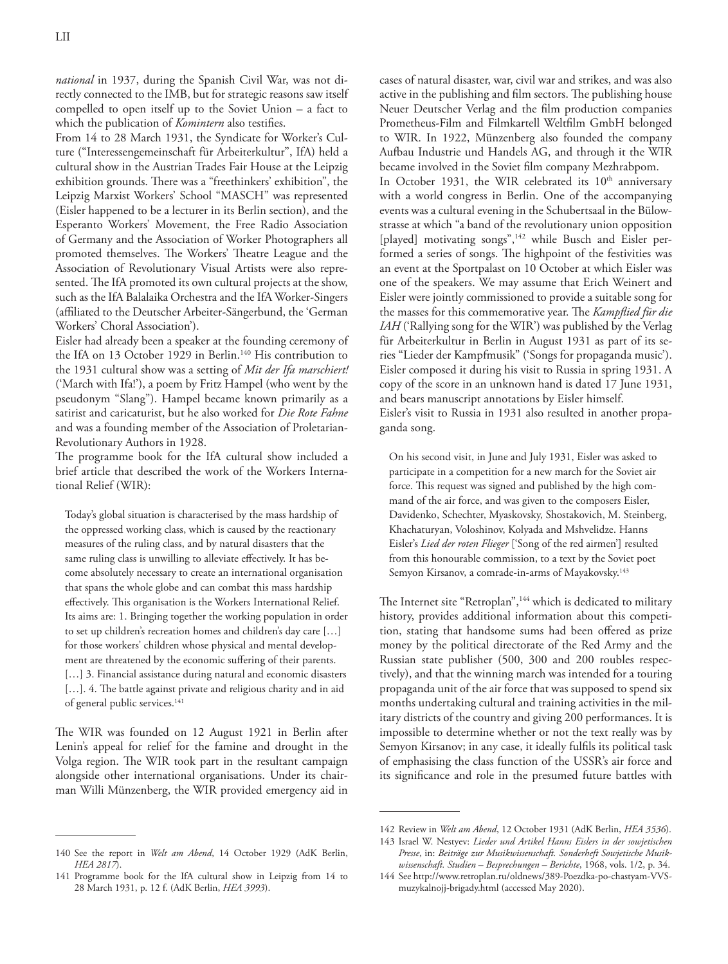*national* in 1937, during the Spanish Civil War, was not directly connected to the IMB, but for strategic reasons saw itself compelled to open itself up to the Soviet Union – a fact to which the publication of *Komintern* also testifies.

From 14 to 28 March 1931, the Syndicate for Worker's Culture ("Interessengemeinschaft für Arbeiterkultur", IfA) held a cultural show in the Austrian Trades Fair House at the Leipzig exhibition grounds. There was a "freethinkers' exhibition", the Leipzig Marxist Workers' School "MASCH" was represented (Eisler happened to be a lecturer in its Berlin section), and the Esperanto Workers' Movement, the Free Radio Association of Germany and the Association of Worker Photographers all promoted themselves. The Workers' Theatre League and the Association of Revolutionary Visual Artists were also represented. The IfA promoted its own cultural projects at the show, such as the IfA Balalaika Orchestra and the IfA Worker-Singers (affiliated to the Deutscher Arbeiter-Sängerbund, the 'German Workers' Choral Association').

Eisler had already been a speaker at the founding ceremony of the IfA on 13 October 1929 in Berlin.<sup>140</sup> His contribution to the 1931 cultural show was a setting of *Mit der Ifa marschiert!* ('March with Ifa!'), a poem by Fritz Hampel (who went by the pseudonym "Slang"). Hampel became known primarily as a satirist and caricaturist, but he also worked for *Die Rote Fahne* and was a founding member of the Association of Proletarian-Revolutionary Authors in 1928.

The programme book for the IfA cultural show included a brief article that described the work of the Workers International Relief (WIR):

Today's global situation is characterised by the mass hardship of the oppressed working class, which is caused by the reactionary measures of the ruling class, and by natural disasters that the same ruling class is unwilling to alleviate effectively. It has become absolutely necessary to create an international organisation that spans the whole globe and can combat this mass hardship effectively. This organisation is the Workers International Relief. Its aims are: 1. Bringing together the working population in order to set up children's recreation homes and children's day care […] for those workers' children whose physical and mental development are threatened by the economic suffering of their parents. [...] 3. Financial assistance during natural and economic disasters [...]. 4. The battle against private and religious charity and in aid of general public services.<sup>141</sup>

The WIR was founded on 12 August 1921 in Berlin after Lenin's appeal for relief for the famine and drought in the Volga region. The WIR took part in the resultant campaign alongside other international organisations. Under its chairman Willi Münzenberg, the WIR provided emergency aid in

cases of natural disaster, war, civil war and strikes, and was also active in the publishing and film sectors. The publishing house Neuer Deutscher Verlag and the film production companies Prometheus-Film and Filmkartell Weltfilm GmbH belonged to WIR. In 1922, Münzenberg also founded the company Aufbau Industrie und Handels AG, and through it the WIR became involved in the Soviet film company Mezhrabpom. In October 1931, the WIR celebrated its  $10<sup>th</sup>$  anniversary with a world congress in Berlin. One of the accompanying events was a cultural evening in the Schubertsaal in the Bülowstrasse at which "a band of the revolutionary union opposition [played] motivating songs",<sup>142</sup> while Busch and Eisler performed a series of songs. The highpoint of the festivities was an event at the Sportpalast on 10 October at which Eisler was one of the speakers. We may assume that Erich Weinert and Eisler were jointly commissioned to provide a suitable song for the masses for this commemorative year. The *Kampflied für die IAH* ('Rallying song for the WIR') was published by the Verlag für Arbeiterkultur in Berlin in August 1931 as part of its series "Lieder der Kampfmusik" ('Songs for propaganda music'). Eisler composed it during his visit to Russia in spring 1931. A copy of the score in an unknown hand is dated 17 June 1931, and bears manuscript annotations by Eisler himself. Eisler's visit to Russia in 1931 also resulted in another propaganda song.

On his second visit, in June and July 1931, Eisler was asked to participate in a competition for a new march for the Soviet air force. This request was signed and published by the high command of the air force, and was given to the composers Eisler, Davidenko, Schechter, Myaskovsky, Shostakovich, M. Steinberg, Khachaturyan, Voloshinov, Kolyada and Mshvelidze. Hanns Eisler's *Lied der roten Flieger* ['Song of the red airmen'] resulted from this honourable commission, to a text by the Soviet poet Semyon Kirsanov, a comrade-in-arms of Mayakovsky.<sup>143</sup>

The Internet site "Retroplan",<sup>144</sup> which is dedicated to military history, provides additional information about this competition, stating that handsome sums had been offered as prize money by the political directorate of the Red Army and the Russian state publisher (500, 300 and 200 roubles respectively), and that the winning march was intended for a touring propaganda unit of the air force that was supposed to spend six months undertaking cultural and training activities in the military districts of the country and giving 200 performances. It is impossible to determine whether or not the text really was by Semyon Kirsanov; in any case, it ideally fulfils its political task of emphasising the class function of the USSR's air force and its significance and role in the presumed future battles with

<sup>140</sup> See the report in *Welt am Abend*, 14 October 1929 (AdK Berlin, *HEA 2817*).

<sup>141</sup> Programme book for the IfA cultural show in Leipzig from 14 to 28 March 1931, p. 12 f. (AdK Berlin, *HEA 3993*).

<sup>142</sup> Review in *Welt am Abend*, 12 October 1931 (AdK Berlin, *HEA 3536*).

<sup>143</sup> Israel W. Nestyev: *Lieder und Artikel Hanns Eislers in der sowjetischen Presse*, in: *Beiträge zur Musikwissenschaft. Sonderheft Sowjetische Musikwissenschaft. Studien – Besprechungen – Berichte*, 1968, vols. 1/2, p. 34.

<sup>144</sup> See http://www.retroplan.ru/oldnews/389-Poezdka-po-chastyam-VVSmuzykalnojj-brigady.html (accessed May 2020).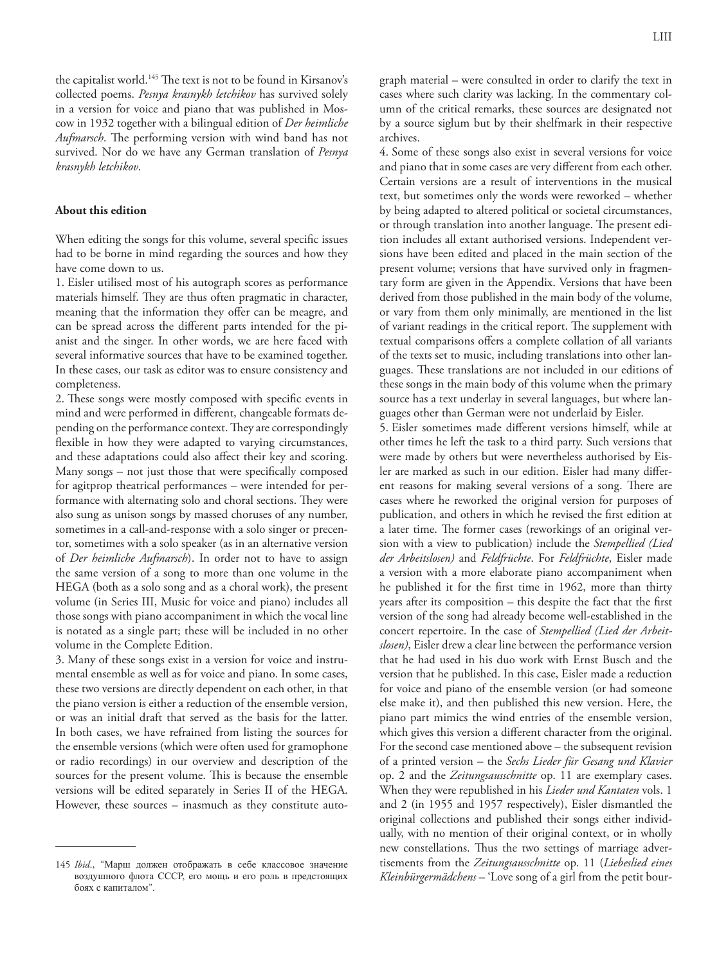the capitalist world.<sup>145</sup> The text is not to be found in Kirsanov's collected poems. *Pesnya krasnykh letchikov* has survived solely in a version for voice and piano that was published in Moscow in 1932 together with a bilingual edition of *Der heimliche Aufmarsch*. The performing version with wind band has not survived. Nor do we have any German translation of *Pesnya krasnykh letchikov*.

#### **About this edition**

When editing the songs for this volume, several specific issues had to be borne in mind regarding the sources and how they have come down to us.

1. Eisler utilised most of his autograph scores as performance materials himself. They are thus often pragmatic in character, meaning that the information they offer can be meagre, and can be spread across the different parts intended for the pianist and the singer. In other words, we are here faced with several informative sources that have to be examined together. In these cases, our task as editor was to ensure consistency and completeness.

2. These songs were mostly composed with specific events in mind and were performed in different, changeable formats depending on the performance context. They are correspondingly flexible in how they were adapted to varying circumstances, and these adaptations could also affect their key and scoring. Many songs – not just those that were specifically composed for agitprop theatrical performances – were intended for performance with alternating solo and choral sections. They were also sung as unison songs by massed choruses of any number, sometimes in a call-and-response with a solo singer or precentor, sometimes with a solo speaker (as in an alternative version of *Der heimliche Aufmarsch*). In order not to have to assign the same version of a song to more than one volume in the HEGA (both as a solo song and as a choral work), the present volume (in Series III, Music for voice and piano) includes all those songs with piano accompaniment in which the vocal line is notated as a single part; these will be included in no other volume in the Complete Edition.

3. Many of these songs exist in a version for voice and instrumental ensemble as well as for voice and piano. In some cases, these two versions are directly dependent on each other, in that the piano version is either a reduction of the ensemble version, or was an initial draft that served as the basis for the latter. In both cases, we have refrained from listing the sources for the ensemble versions (which were often used for gramophone or radio recordings) in our overview and description of the sources for the present volume. This is because the ensemble versions will be edited separately in Series II of the HEGA. However, these sources – inasmuch as they constitute auto-

graph material – were consulted in order to clarify the text in cases where such clarity was lacking. In the commentary column of the critical remarks, these sources are designated not by a source siglum but by their shelfmark in their respective archives.

4. Some of these songs also exist in several versions for voice and piano that in some cases are very different from each other. Certain versions are a result of interventions in the musical text, but sometimes only the words were reworked – whether by being adapted to altered political or societal circumstances, or through translation into another language. The present edition includes all extant authorised versions. Independent versions have been edited and placed in the main section of the present volume; versions that have survived only in fragmentary form are given in the Appendix. Versions that have been derived from those published in the main body of the volume, or vary from them only minimally, are mentioned in the list of variant readings in the critical report. The supplement with textual comparisons offers a complete collation of all variants of the texts set to music, including translations into other languages. These translations are not included in our editions of these songs in the main body of this volume when the primary source has a text underlay in several languages, but where languages other than German were not underlaid by Eisler.

5. Eisler sometimes made different versions himself, while at other times he left the task to a third party. Such versions that were made by others but were nevertheless authorised by Eisler are marked as such in our edition. Eisler had many different reasons for making several versions of a song. There are cases where he reworked the original version for purposes of publication, and others in which he revised the first edition at a later time. The former cases (reworkings of an original version with a view to publication) include the *Stempellied (Lied der Arbeitslosen)* and *Feldfrüchte*. For *Feldfrüchte*, Eisler made a version with a more elaborate piano accompaniment when he published it for the first time in 1962, more than thirty years after its composition – this despite the fact that the first version of the song had already become well-established in the concert repertoire. In the case of *Stempellied (Lied der Arbeitslosen)*, Eisler drew a clear line between the performance version that he had used in his duo work with Ernst Busch and the version that he published. In this case, Eisler made a reduction for voice and piano of the ensemble version (or had someone else make it), and then published this new version. Here, the piano part mimics the wind entries of the ensemble version, which gives this version a different character from the original. For the second case mentioned above – the subsequent revision of a printed version – the *Sechs Lieder für Gesang und Klavier*  op. 2 and the *Zeitungsausschnitte* op. 11 are exemplary cases. When they were republished in his *Lieder und Kantaten* vols. 1 and 2 (in 1955 and 1957 respectively), Eisler dismantled the original collections and published their songs either individually, with no mention of their original context, or in wholly new constellations. Thus the two settings of marriage advertisements from the *Zeitungsausschnitte* op. 11 (*Liebeslied eines Kleinbürgermädchens* – 'Love song of a girl from the petit bour-

<sup>145</sup> *Ibid*., "Марш должен отображать в себе классовое значение воздушного флота СССР, его мощь и его роль в предстоящих боях с капиталом".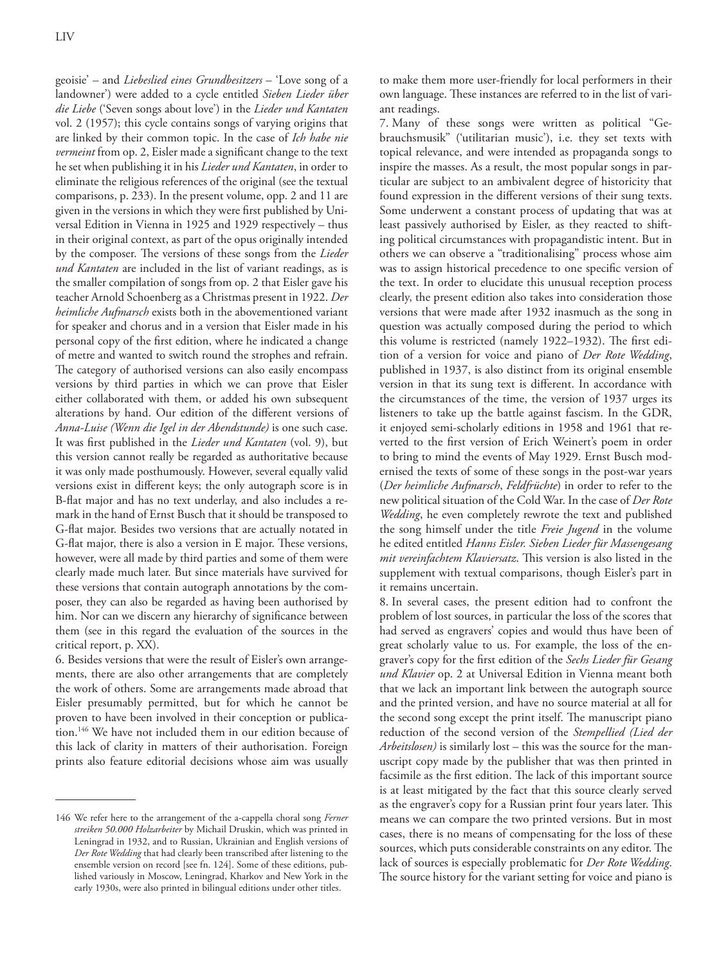geoisie' – and *Liebeslied eines Grundbesitzers* – 'Love song of a landowner') were added to a cycle entitled *Sieben Lieder über die Liebe* ('Seven songs about love') in the *Lieder und Kantaten* vol. 2 (1957); this cycle contains songs of varying origins that are linked by their common topic. In the case of *Ich habe nie vermeint* from op. 2, Eisler made a significant change to the text he set when publishing it in his *Lieder und Kantaten*, in order to eliminate the religious references of the original (see the textual comparisons, p. 233). In the present volume, opp. 2 and 11 are given in the versions in which they were first published by Universal Edition in Vienna in 1925 and 1929 respectively – thus in their original context, as part of the opus originally intended by the composer. The versions of these songs from the *Lieder und Kantaten* are included in the list of variant readings, as is the smaller compilation of songs from op. 2 that Eisler gave his teacher Arnold Schoenberg as a Christmas present in 1922. *Der heimliche Aufmarsch* exists both in the abovementioned variant for speaker and chorus and in a version that Eisler made in his personal copy of the first edition, where he indicated a change of metre and wanted to switch round the strophes and refrain. The category of authorised versions can also easily encompass versions by third parties in which we can prove that Eisler either collaborated with them, or added his own subsequent alterations by hand. Our edition of the different versions of *Anna-Luise (Wenn die Igel in der Abendstunde)* is one such case. It was first published in the *Lieder und Kantaten* (vol. 9), but this version cannot really be regarded as authoritative because it was only made posthumously. However, several equally valid versions exist in different keys; the only autograph score is in B-flat major and has no text underlay, and also includes a remark in the hand of Ernst Busch that it should be transposed to G-flat major. Besides two versions that are actually notated in G-flat major, there is also a version in E major. These versions, however, were all made by third parties and some of them were clearly made much later. But since materials have survived for these versions that contain autograph annotations by the composer, they can also be regarded as having been authorised by him. Nor can we discern any hierarchy of significance between them (see in this regard the evaluation of the sources in the critical report, p. XX).

6. Besides versions that were the result of Eisler's own arrangements, there are also other arrangements that are completely the work of others. Some are arrangements made abroad that Eisler presumably permitted, but for which he cannot be proven to have been involved in their conception or publication.146 We have not included them in our edition because of this lack of clarity in matters of their authorisation. Foreign prints also feature editorial decisions whose aim was usually

to make them more user-friendly for local performers in their own language. These instances are referred to in the list of variant readings.

7. Many of these songs were written as political "Gebrauchsmusik" ('utilitarian music'), i.e. they set texts with topical relevance, and were intended as propaganda songs to inspire the masses. As a result, the most popular songs in particular are subject to an ambivalent degree of historicity that found expression in the different versions of their sung texts. Some underwent a constant process of updating that was at least passively authorised by Eisler, as they reacted to shifting political circumstances with propagandistic intent. But in others we can observe a "traditionalising" process whose aim was to assign historical precedence to one specific version of the text. In order to elucidate this unusual reception process clearly, the present edition also takes into consideration those versions that were made after 1932 inasmuch as the song in question was actually composed during the period to which this volume is restricted (namely 1922–1932). The first edition of a version for voice and piano of *Der Rote Wedding*, published in 1937, is also distinct from its original ensemble version in that its sung text is different. In accordance with the circumstances of the time, the version of 1937 urges its listeners to take up the battle against fascism. In the GDR, it enjoyed semi-scholarly editions in 1958 and 1961 that reverted to the first version of Erich Weinert's poem in order to bring to mind the events of May 1929. Ernst Busch modernised the texts of some of these songs in the post-war years (*Der heimliche Aufmarsch*, *Feldfrüchte*) in order to refer to the new political situation of the Cold War. In the case of *Der Rote Wedding*, he even completely rewrote the text and published the song himself under the title *Freie Jugend* in the volume he edited entitled *Hanns Eisler. Sieben Lieder für Massengesang mit vereinfachtem Klaviersatz*. This version is also listed in the supplement with textual comparisons, though Eisler's part in it remains uncertain.

8. In several cases, the present edition had to confront the problem of lost sources, in particular the loss of the scores that had served as engravers' copies and would thus have been of great scholarly value to us. For example, the loss of the engraver's copy for the first edition of the *Sechs Lieder für Gesang und Klavier* op. 2 at Universal Edition in Vienna meant both that we lack an important link between the autograph source and the printed version, and have no source material at all for the second song except the print itself. The manuscript piano reduction of the second version of the *Stempellied (Lied der Arbeitslosen)* is similarly lost – this was the source for the manuscript copy made by the publisher that was then printed in facsimile as the first edition. The lack of this important source is at least mitigated by the fact that this source clearly served as the engraver's copy for a Russian print four years later. This means we can compare the two printed versions. But in most cases, there is no means of compensating for the loss of these sources, which puts considerable constraints on any editor. The lack of sources is especially problematic for *Der Rote Wedding*. The source history for the variant setting for voice and piano is

<sup>146</sup> We refer here to the arrangement of the a-cappella choral song *Ferner streiken 50.000 Holzarbeiter* by Michail Druskin, which was printed in Leningrad in 1932, and to Russian, Ukrainian and English versions of *Der Rote Wedding* that had clearly been transcribed after listening to the ensemble version on record [see fn. 124]. Some of these editions, published variously in Moscow, Leningrad, Kharkov and New York in the early 1930s, were also printed in bilingual editions under other titles.